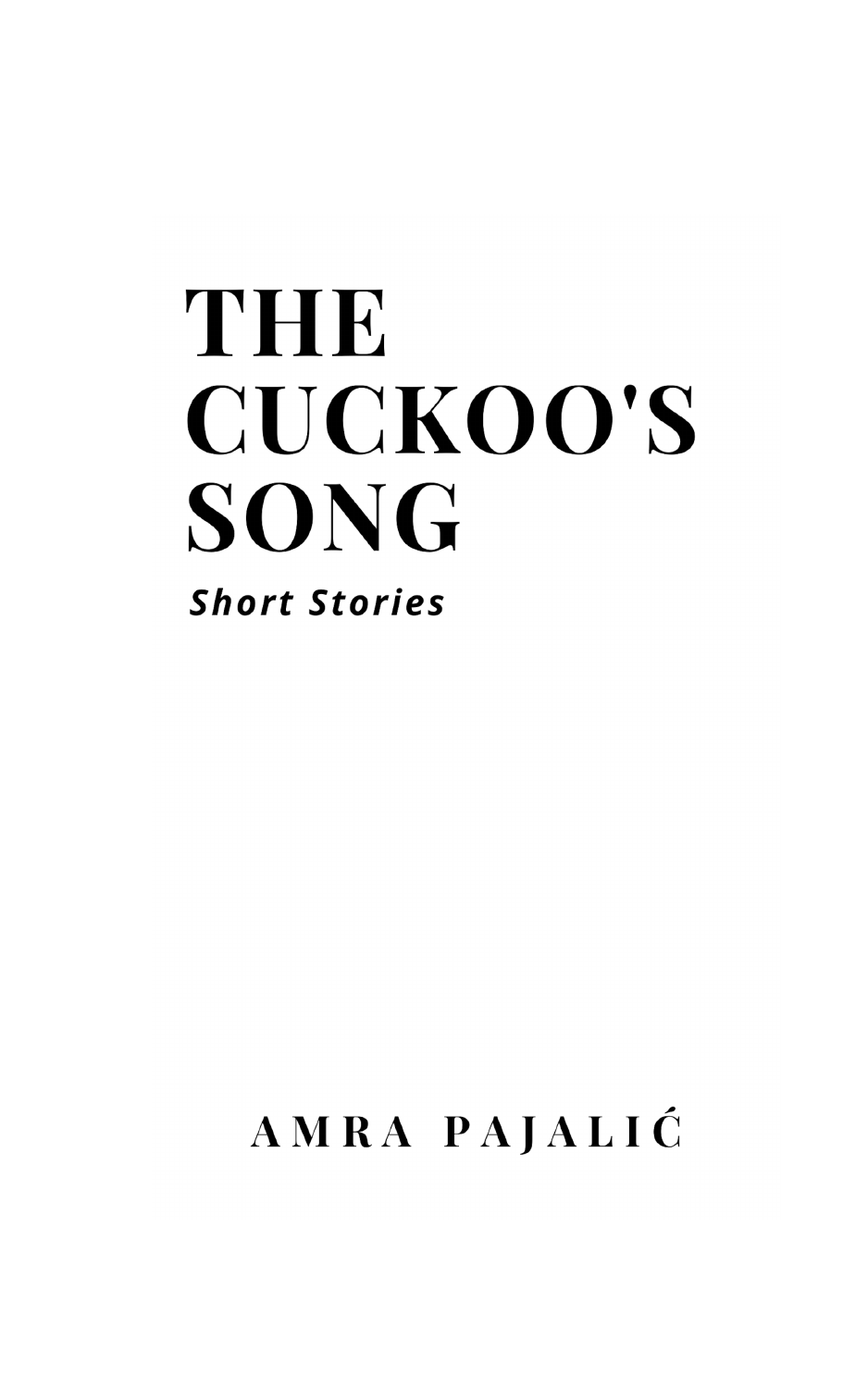# THE **CUCKOO'S SONG Short Stories**

# AMRA PAJALIĆ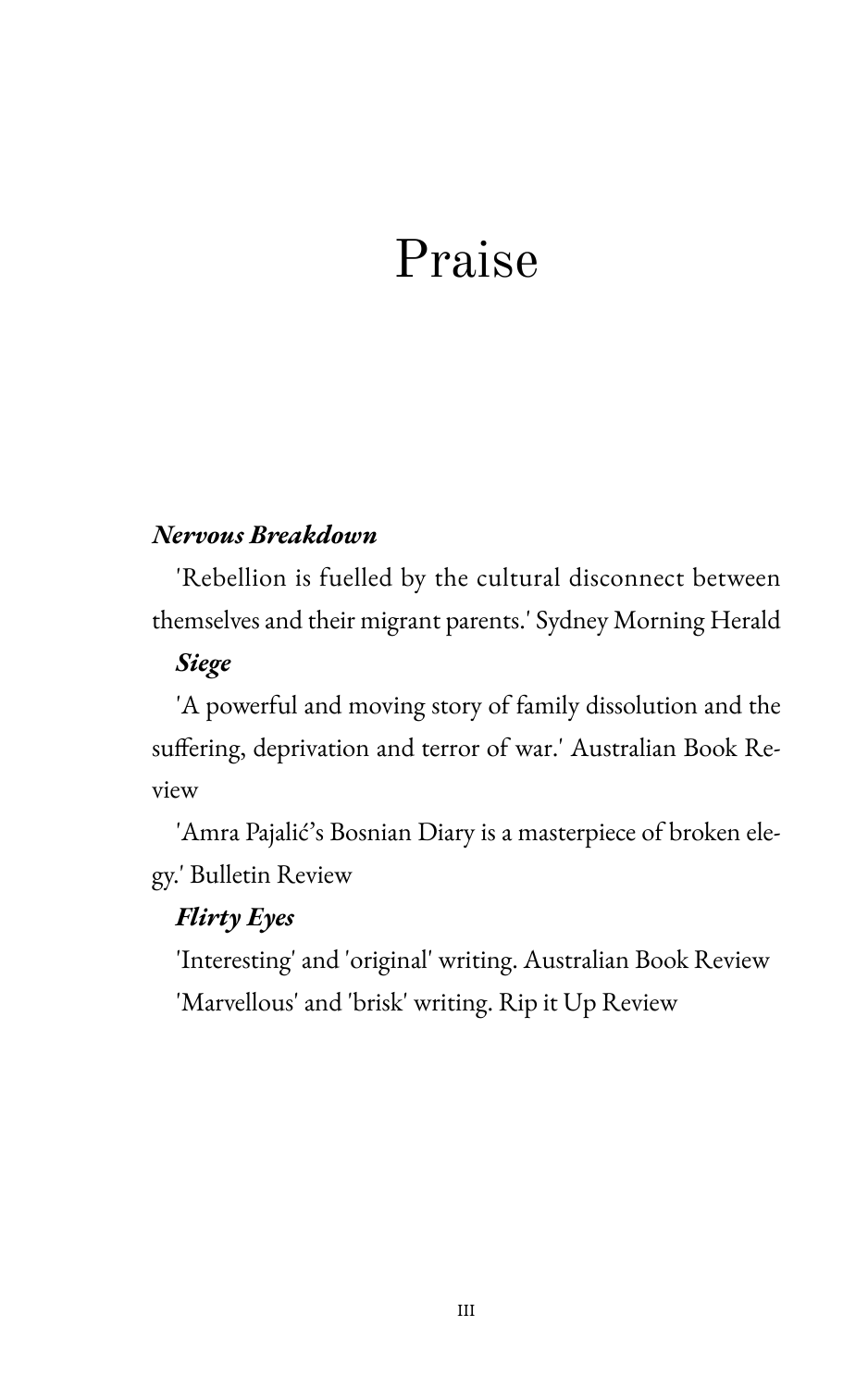# Praise

### Nervous Breakdown

'Rebellion is fuelled by the cultural disconnect between themselves and their migrant parents.' Sydney Morning Herald

### **Siege**

'A powerful and moving story of family dissolution and the suffering, deprivation and terror of war.' Australian Book Review

'Amra Pajalić's Bosnian Diary is a masterpiece of broken elegy.' Bulletin Review

### **Flirty Eyes**

'Interesting' and 'original' writing. Australian Book Review 'Marvellous' and 'brisk' writing. Rip it Up Review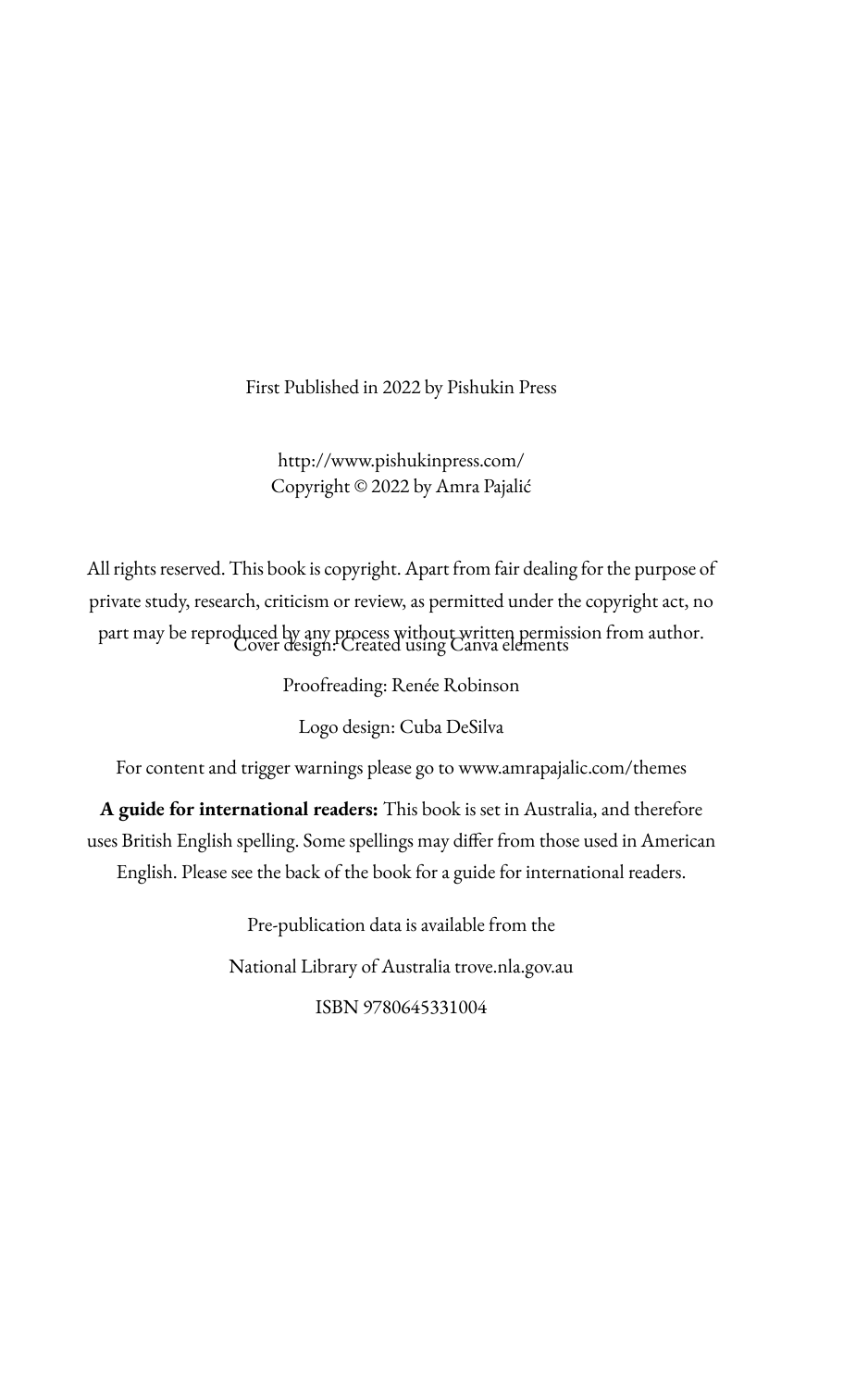First Published in 2022 by Pishukin Press

http://www.pishukinpress.com/ Copyright © 2022 by Amra Pajalić

All rights reserved. This book is copyright. Apart from fair dealing for the purpose of private study, research, criticism or review, as permitted under the copyright act, no part may be reproduced by any process without written permission from author. Cover design: Created using Canva elements

Proofreading: Renée Robinson

Logo design: Cuba DeSilva

For content and trigger warnings please go to www.amrapajalic.com/themes

**A guide for international readers:** This book is set in Australia, and therefore uses British English spelling. Some spellings may differ from those used in American English. Please see the back of the book for a guide for international readers.

> Pre-publication data is available from the National Library of Australia trove.nla.gov.au ISBN 9780645331004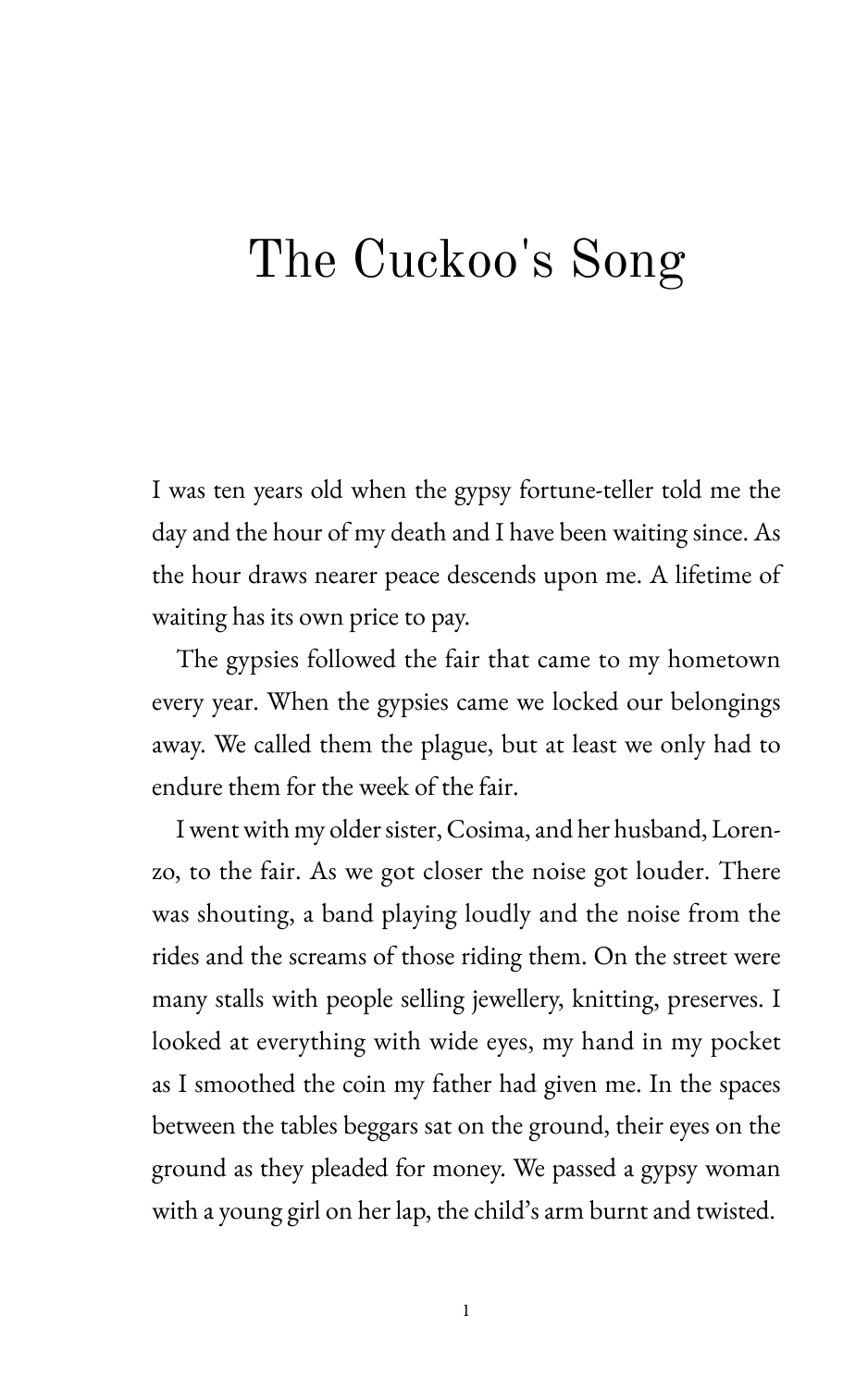### The Cuckoo's Song

I was ten years old when the gypsy fortune-teller told me the day and the hour of my death and I have been waiting since. As the hour draws nearer peace descends upon me. A lifetime of waiting has its own price to pay.

The gypsies followed the fair that came to my hometown every year. When the gypsies came we locked our belongings away. We called them the plague, but at least we only had to endure them for the week of the fair.

I went with my older sister, Cosima, and her husband, Lorenzo, to the fair. As we got closer the noise got louder. There was shouting, a band playing loudly and the noise from the rides and the screams of those riding them. On the street were many stalls with people selling jewellery, knitting, preserves. I looked at everything with wide eyes, my hand in my pocket as I smoothed the coin my father had given me. In the spaces between the tables beggars sat on the ground, their eyes on the ground as they pleaded for money. We passed a gypsy woman with a young girl on her lap, the child's arm burnt and twisted.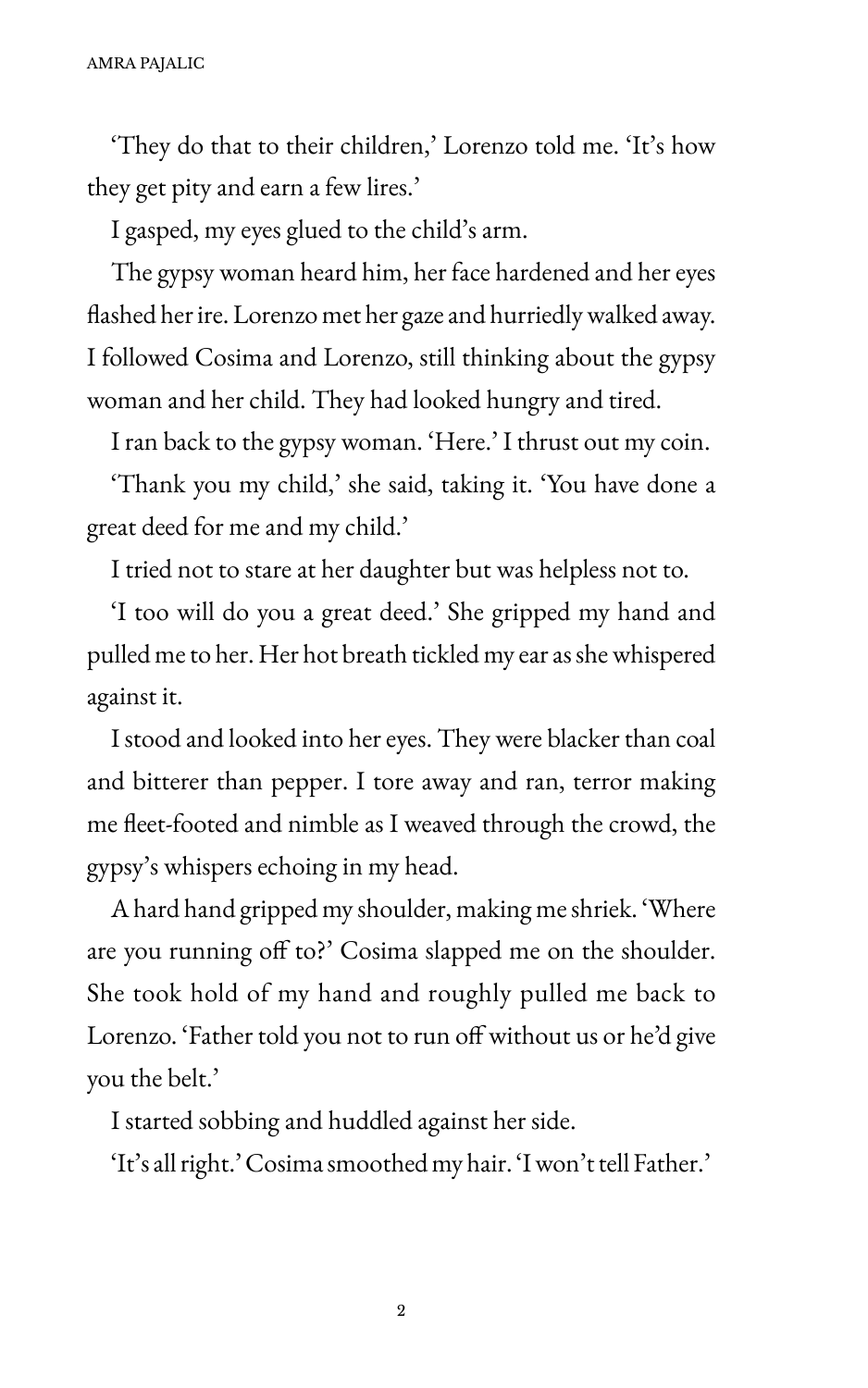'They do that to their children,' Lorenzo told me. 'It's how they get pity and earn a few lires.'

I gasped, my eyes glued to the child's arm.

The gypsy woman heard him, her face hardened and her eyes Hashed her ire. Lorenzo met her gaze and hurriedly walked away. I followed Cosima and Lorenzo, still thinking about the gypsy woman and her child. They had looked hungry and tired.

I ran back to the gypsy woman. 'Here.' I thrust out my coin.

'Thank you my child,' she said, taking it. 'Sou have done a great deed for me and my child.'

I tried not to stare at her daughter but was helpless not to.

'I too will do you a great deed.' She gripped my hand and pulled me to her. Her hot breath tickled my ear as she whispered against it.

I stood and looked into her eyes. They were blacker than coal and bitterer than pepper. I tore away and ran, terror making me Heet-footed and nimble as I weaved through the crowd, the gypsy's whispers echoing in my head.

A hard hand gripped my shoulder, making me shriek. 'Where are you running off to?' Cosima slapped me on the shoulder. She took hold of my hand and roughly pulled me back to Lorenzo. 'Father told you not to run off without us or he'd give you the belt.'

I started sobbing and huddled against her side.

'It's all right.' Cosima smoothed my hair. 'I won't tell Father.'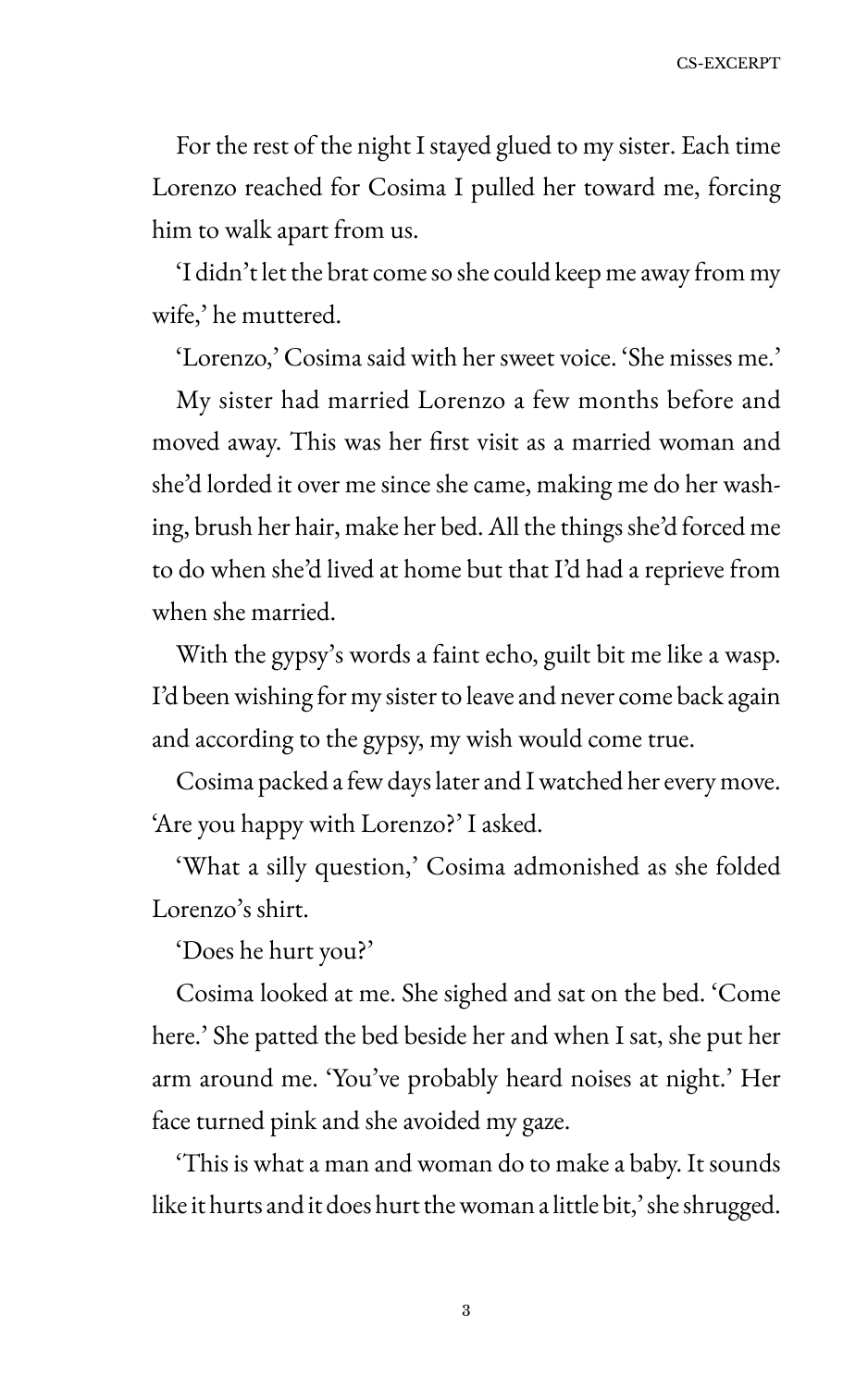For the rest of the night I stayed glued to my sister. Each time Lorenzo reached for Cosima I pulled her toward me, forcing him to walk apart from us.

'I didn't let the brat come so she could keep me away from my wife,' he muttered.

'Lorenzo,' Cosima said with her sweet voice. 'She misses me.'

My sister had married Lorenzo a few months before and moved away. This was her first visit as a married woman and she'd lorded it over me since she came, making me do her washing, brush her hair, make her bed. All the things she'd forced me to do when she'd lived at home but that I'd had a reprieve from when she married.

With the gypsy's words a faint echo, guilt bit me like a wasp. I'd been wishing for my sister to leave and never come back again and according to the gypsy, my wish would come true.

Cosima packed a few days later and I watched her every move. 'Are you happy with Lorenzo?' I asked.

'What a silly question,' Cosima admonished as she folded Lorenzo's shirt.

'Does he hurt you?'

Cosima looked at me. She sighed and sat on the bed. 'Come here.' She patted the bed beside her and when I sat, she put her arm around me. 'You've probably heard noises at night.' Her face turned pink and she avoided my gaze.

'This is what a man and woman do to make a baby. It sounds like it hurts and it does hurt the woman a little bit,' she shrugged.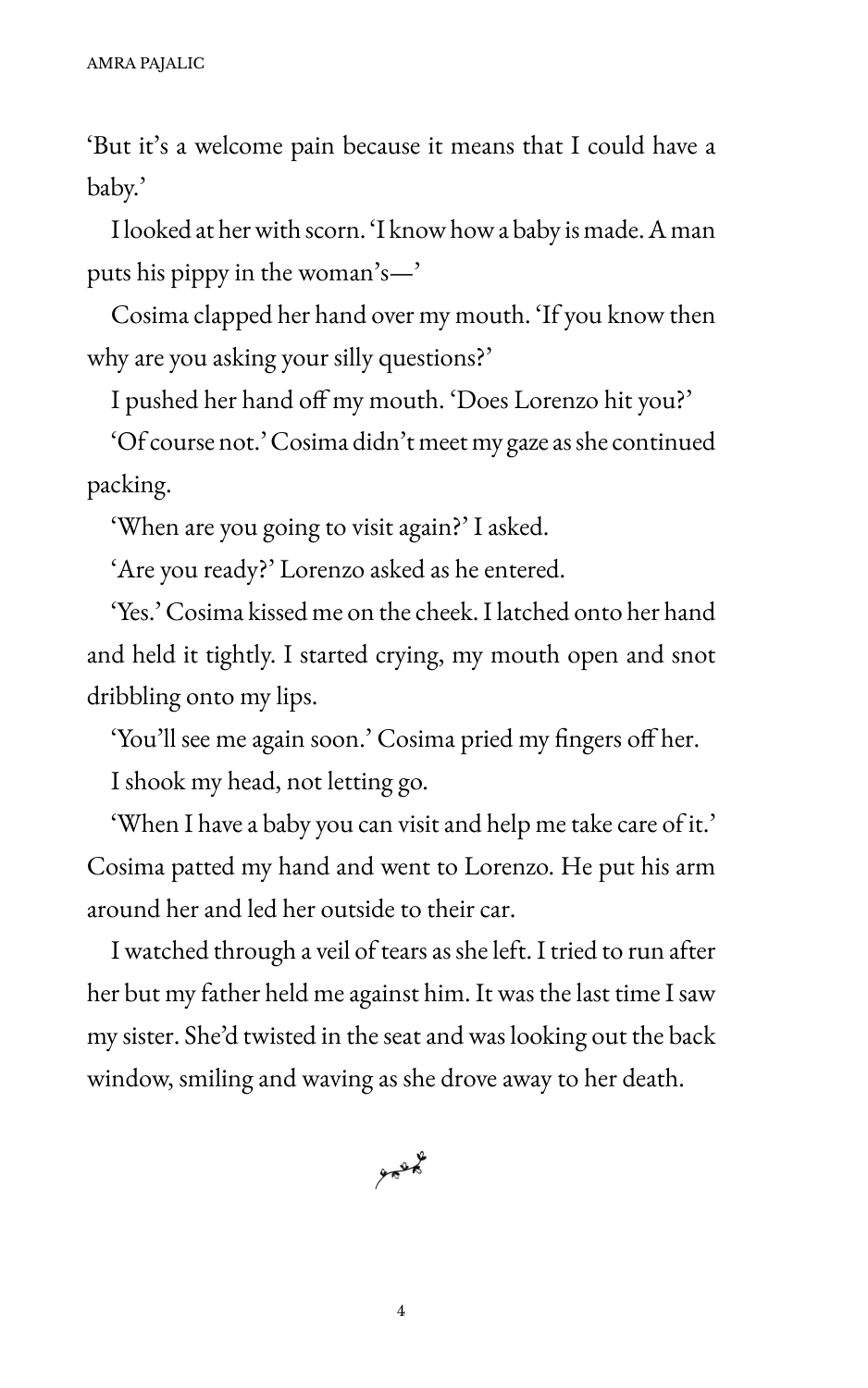'But it's a welcome pain because it means that I could have a baby.'

I looked at her with scorn. 'I know how a baby is made. A man puts his pippy in the woman's-'

Cosima clapped her hand over my mouth. 'If you know then why are you asking your silly questions?'

I pushed her hand off my mouth. 'Does Lorenzo hit you?'

'Of course not.' Cosima didn't meet my gaze as she continued packing.

'When are you going to visit again?' I asked.

'Are you ready?' Lorenzo asked as he entered.

'Ses.' Cosima kissed me on the cheek. I latched onto her hand and held it tightly. I started crying, my mouth open and snot dribbling onto my lips.

'You'll see me again soon.' Cosima pried my fingers off her. I shook my head, not letting go.

'When I have a baby you can visit and help me take care of it.' Cosima patted my hand and went to Lorenzo. He put his arm around her and led her outside to their car.

I watched through a veil of tears as she left. I tried to run after her but my father held me against him. It was the last time I saw my sister. She'd twisted in the seat and was looking out the back window, smiling and waving as she drove away to her death.

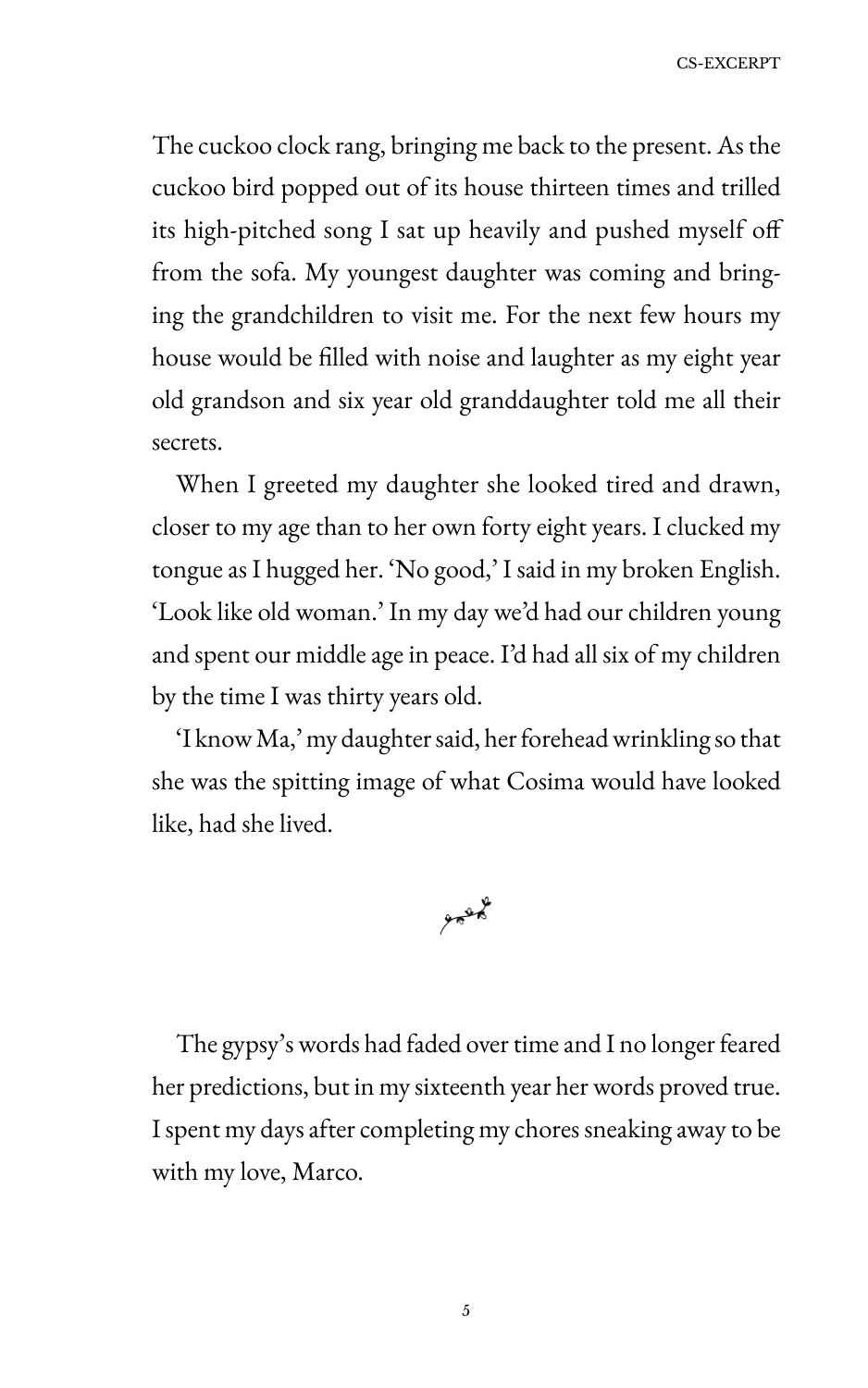The cuckoo clock rang, bringing me back to the present. As the cuckoo bird popped out of its house thirteen times and trilled its high-pitched song I sat up heavily and pushed myself off from the sofa. My youngest daughter was coming and bringing the grandchildren to visit me. For the next few hours my house would be filled with noise and laughter as my eight year old grandson and six year old granddaughter told me all their secrets.

When I greeted my daughter she looked tired and drawn, closer to my age than to her own forty eight years. I clucked my tongue as I hugged her. 'No good,' I said in my broken English. 'Look like old woman.' In my day we'd had our children young and spent our middle age in peace. I'd had all six of my children by the time I was thirty years old.

'I know Ma,' my daughter said, her forehead wrinkling so that she was the spitting image of what Cosima would have looked like, had she lived.



The gypsy's words had faded over time and I no longer feared her predictions, but in my sixteenth year her words proved true. I spent my days after completing my chores sneaking away to be with my love, Marco.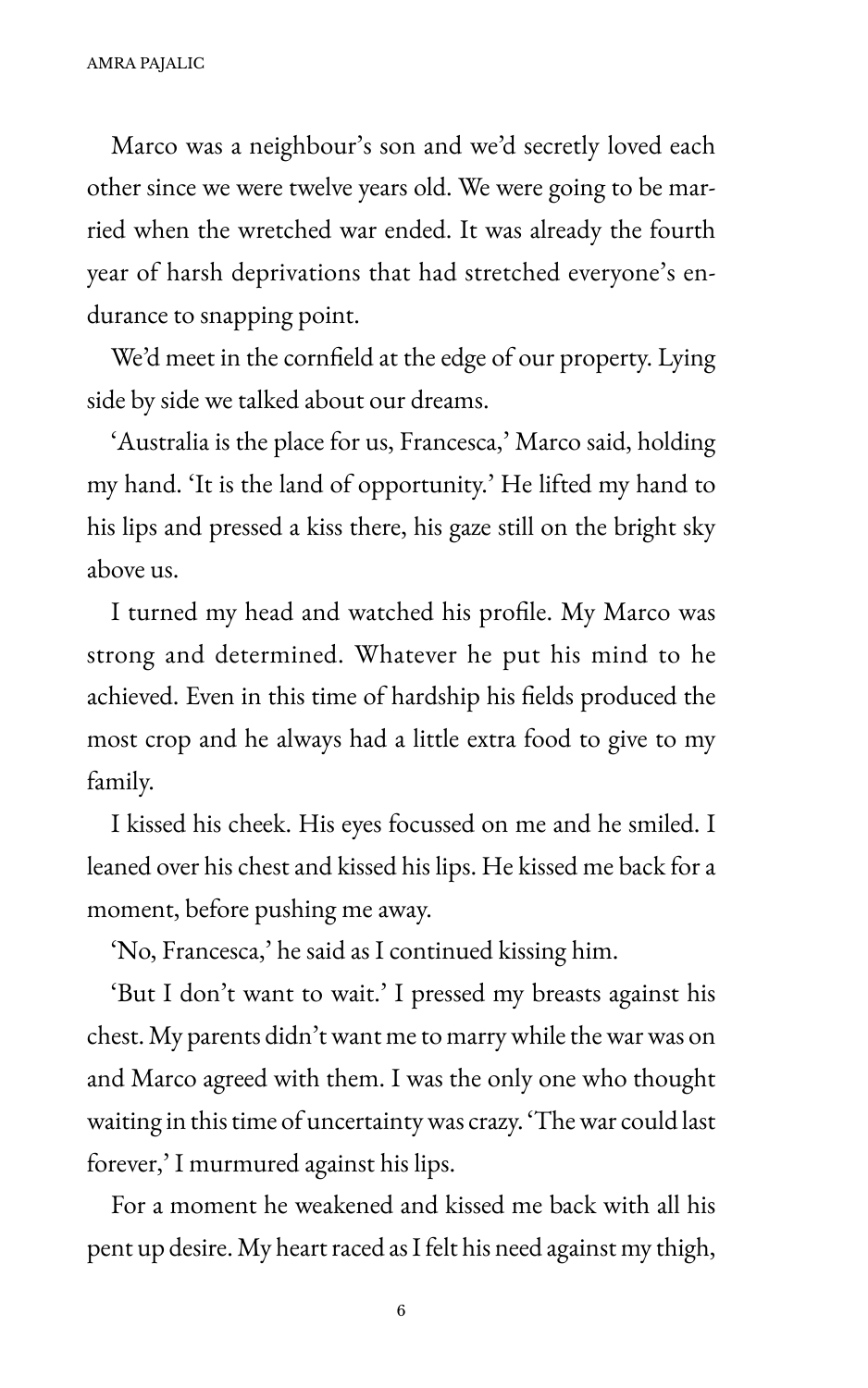Marco was a neighbour's son and we'd secretly loved each other since we were twelve years old. We were going to be married when the wretched war ended. It was already the fourth year of harsh deprivations that had stretched everyone's endurance to snapping point.

We'd meet in the cornfield at the edge of our property. Lying side by side we talked about our dreams.

'Australia is the place for us, Francesca,' Marco said, holding my hand. 'It is the land of opportunity.' He lifted my hand to his lips and pressed a kiss there, his gaze still on the bright sky above us.

I turned my head and watched his profile. My Marco was strong and determined. Whatever he put his mind to he achieved. Even in this time of hardship his fields produced the most crop and he always had a little extra food to give to my family.

I kissed his cheek. His eyes focussed on me and he smiled. I leaned over his chest and kissed his lips. He kissed me back for a moment, before pushing me away.

'No, Francesca,' he said as I continued kissing him.

'But I don't want to wait.' I pressed my breasts against his chest. My parents didn't want me to marry while the war was on and Marco agreed with them. I was the only one who thought waiting in this time of uncertainty was crazy. 'The war could last forever,' I murmured against his lips.

For a moment he weakened and kissed me back with all his pent up desire. My heart raced as I felt his need against my thigh,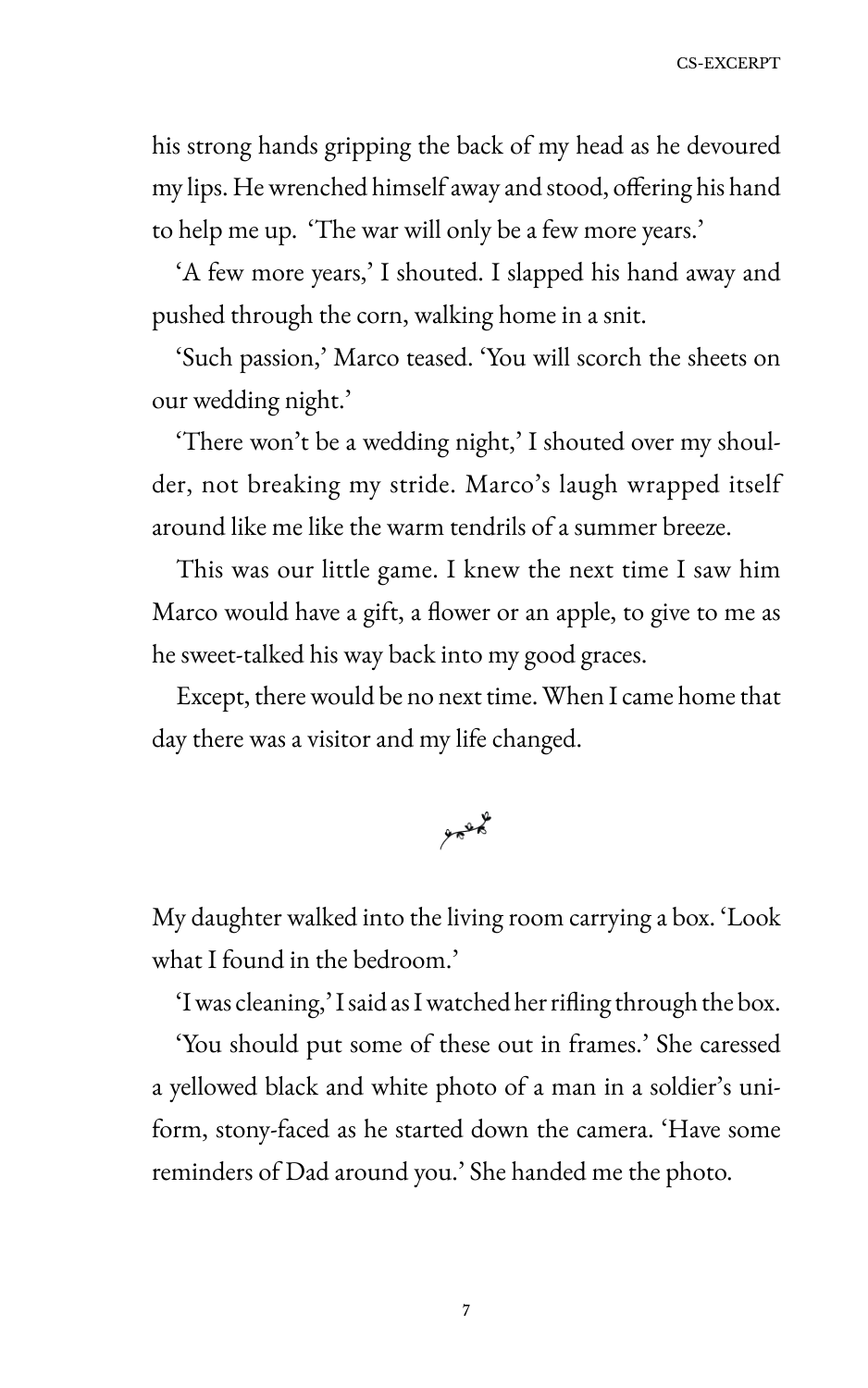his strong hands gripping the back of my head as he devoured my lips. He wrenched himself away and stood, offering his hand to help me up. 'The war will only be a few more years.'

'A few more years,' I shouted. I slapped his hand away and pushed through the corn, walking home in a snit.

'Such passion,' Marco teased. 'You will scorch the sheets on our wedding night.'

'There won't be a wedding night,' I shouted over my shoulder, not breaking my stride. Marco's laugh wrapped itself around like me like the warm tendrils of a summer breeze.

This was our little game. I knew the next time I saw him Marco would have a gift, a flower or an apple, to give to me as he sweet-talked his way back into my good graces.

Except, there would be no next time. When I came home that day there was a visitor and my life changed.



My daughter walked into the living room carrying a box. 'Look what I found in the bedroom.'

'I was cleaning,' I said as I watched her rifling through the box.

'You should put some of these out in frames.' She caressed a yellowed black and white photo of a man in a soldier's uniform, stony-faced as he started down the camera. 'Have some reminders of Dad around you.' She handed me the photo.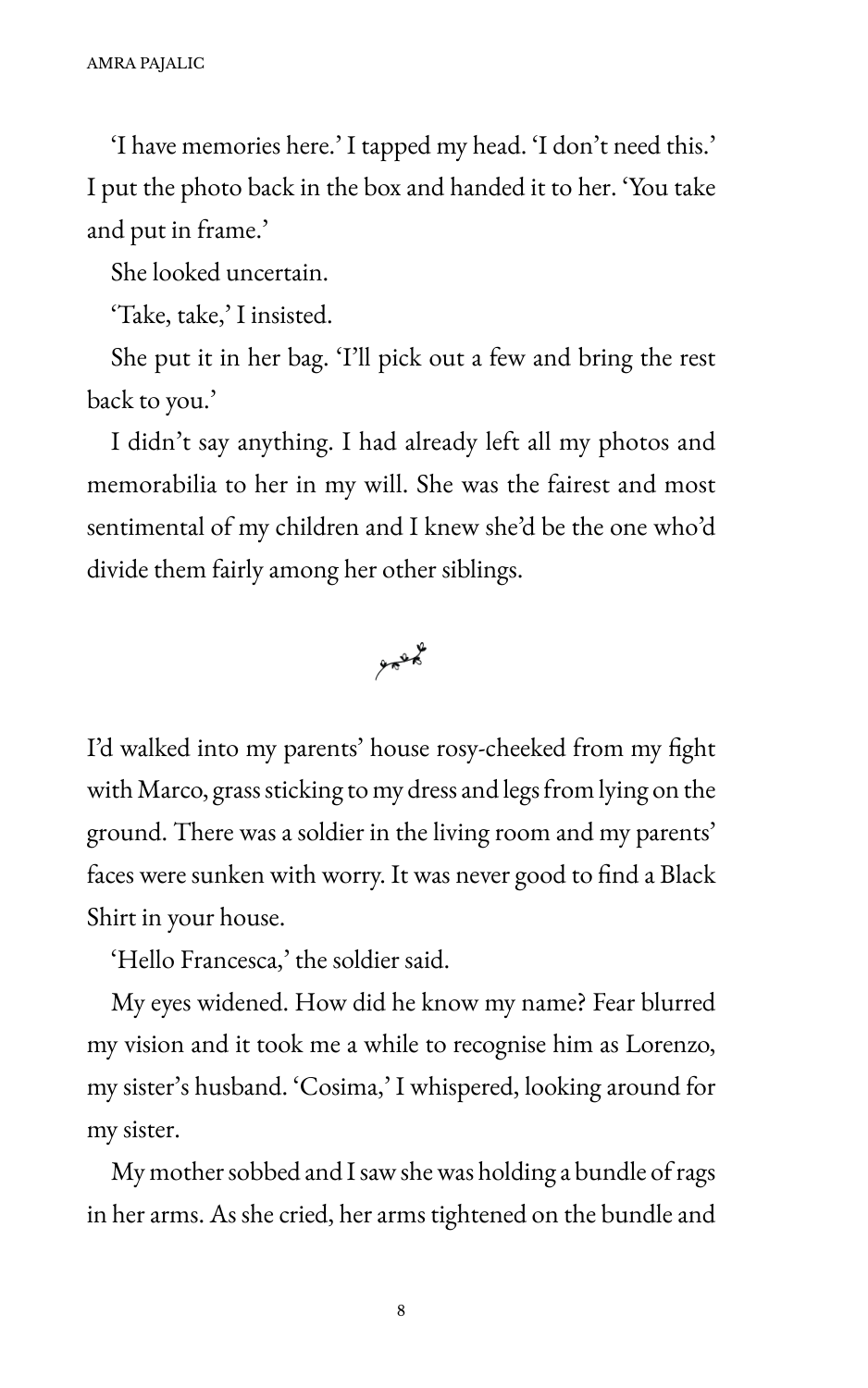'I have memories here.' I tapped my head. 'I don't need this.' I put the photo back in the box and handed it to her. 'You take and put in frame.'

?he looked uncertain.

'Take, take,' I insisted.

She put it in her bag. 'I'll pick out a few and bring the rest back to you.'

I didn't say anything. I had already left all my photos and memorabilia to her in my will. She was the fairest and most sentimental of my children and I knew she'd be the one who'd divide them fairly among her other siblings.

 $25$ 

I'd walked into my parents' house rosy-cheeked from my fight with Marco, grass sticking to my dress and legs from lying on the ground. There was a soldier in the living room and my parents' faces were sunken with worry. It was never good to find a Black Shirt in your house.

'Hello Francesca,' the soldier said.

My eyes widened. How did he know my name? Fear blurred my vision and it took me a while to recognise him as Lorenzo, my sister's husband. 'Cosima,' I whispered, looking around for my sister.

My mother sobbed and I saw she was holding a bundle of rags in her arms. As she cried, her arms tightened on the bundle and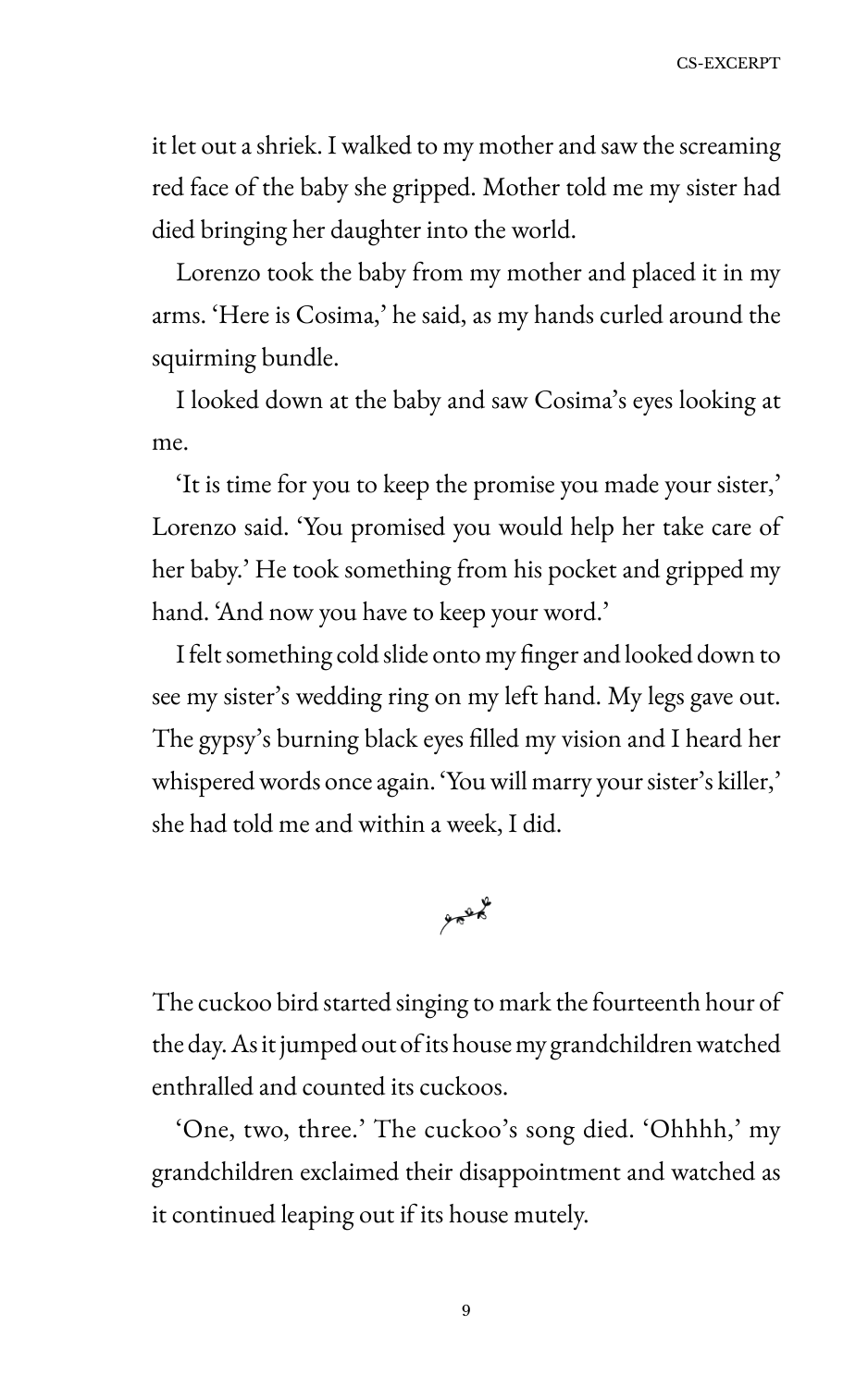it let out a shriek. I walked to my mother and saw the screaming red face of the baby she gripped. Mother told me my sister had died bringing her daughter into the world.

Lorenzo took the baby from my mother and placed it in my arms. 'Here is Cosima,' he said, as my hands curled around the squirming bundle.

I looked down at the baby and saw Cosima's eyes looking at me.

'It is time for you to keep the promise you made your sister,' Lorenzo said. 'Sou promised you would help her take care of her baby.' He took something from his pocket and gripped my hand. 'And now you have to keep your word.'

I felt something cold slide onto my finger and looked down to see my sister's wedding ring on my left hand. My legs gave out. The gypsy's burning black eyes filled my vision and I heard her whispered words once again. 'Sou will marry your sister's killer,' she had told me and within a week, I did.



The cuckoo bird started singing to mark the fourteenth hour of the day. As it jumped out of its house my grandchildren watched enthralled and counted its cuckoos.

'One, two, three.' The cuckoo's song died. 'Ohhhh,' my grandchildren exclaimed their disappointment and watched as it continued leaping out if its house mutely.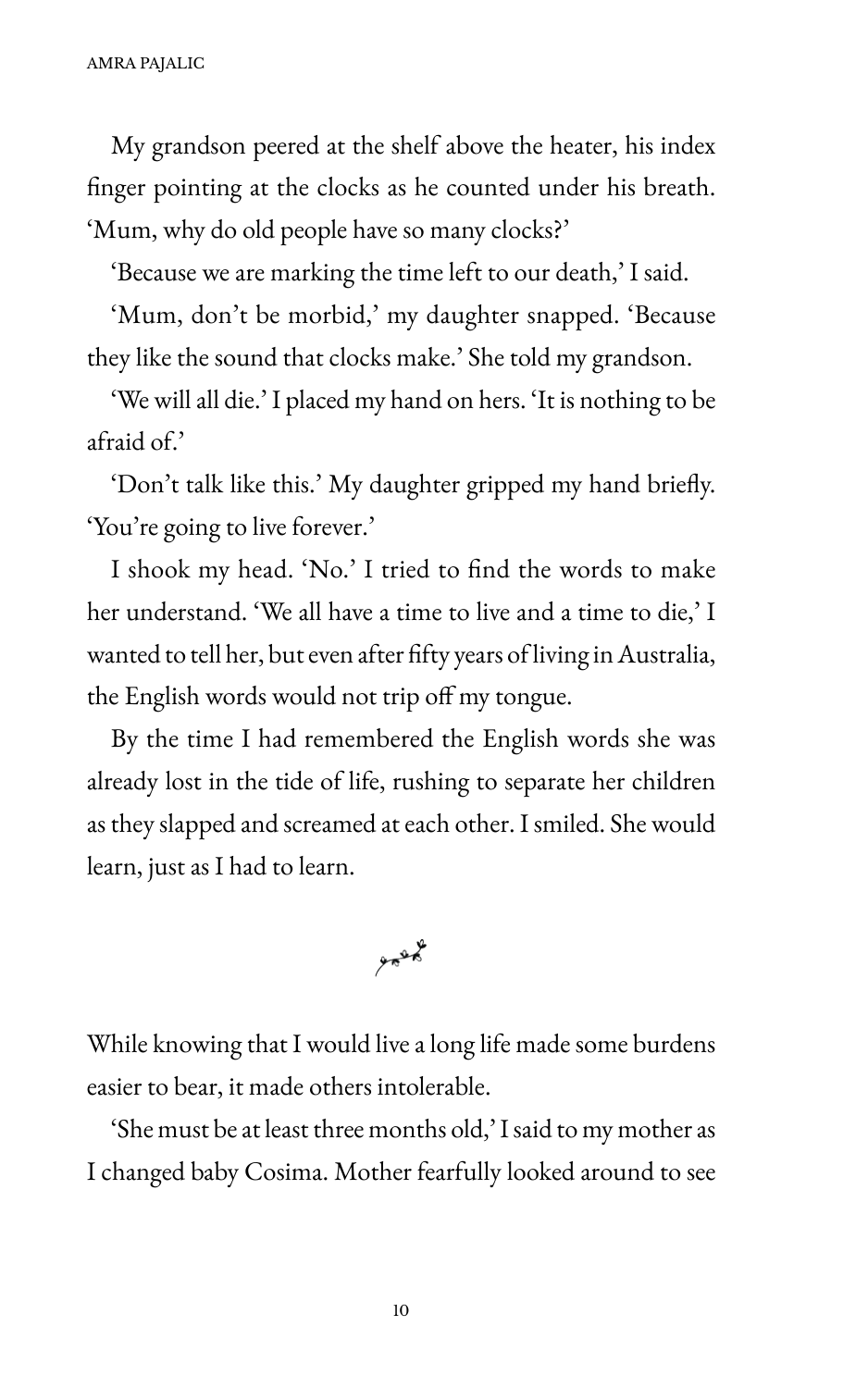My grandson peered at the shelf above the heater, his index finger pointing at the clocks as he counted under his breath. 'Mum, why do old people have so many clocks?'

'Because we are marking the time left to our death,' I said.

'Mum, don't be morbid,' my daughter snapped. 'Because they like the sound that clocks make.' She told my grandson.

'We will all die.' I placed my hand on hers. 'It is nothing to be afraid of.'

'Don't talk like this.' My daughter gripped my hand briefly. 'Sou're going to live forever.'

I shook my head. 'No.' I tried to find the words to make her understand. 'We all have a time to live and a time to die,' I wanted to tell her, but even after fifty years of living in Australia, the English words would not trip off my tongue.

By the time I had remembered the English words she was already lost in the tide of life, rushing to separate her children as they slapped and screamed at each other. I smiled. She would learn, just as I had to learn.

 $958$ 

While knowing that I would live a long life made some burdens easier to bear, it made others intolerable.

'She must be at least three months old,' I said to my mother as I changed baby Cosima. Mother fearfully looked around to see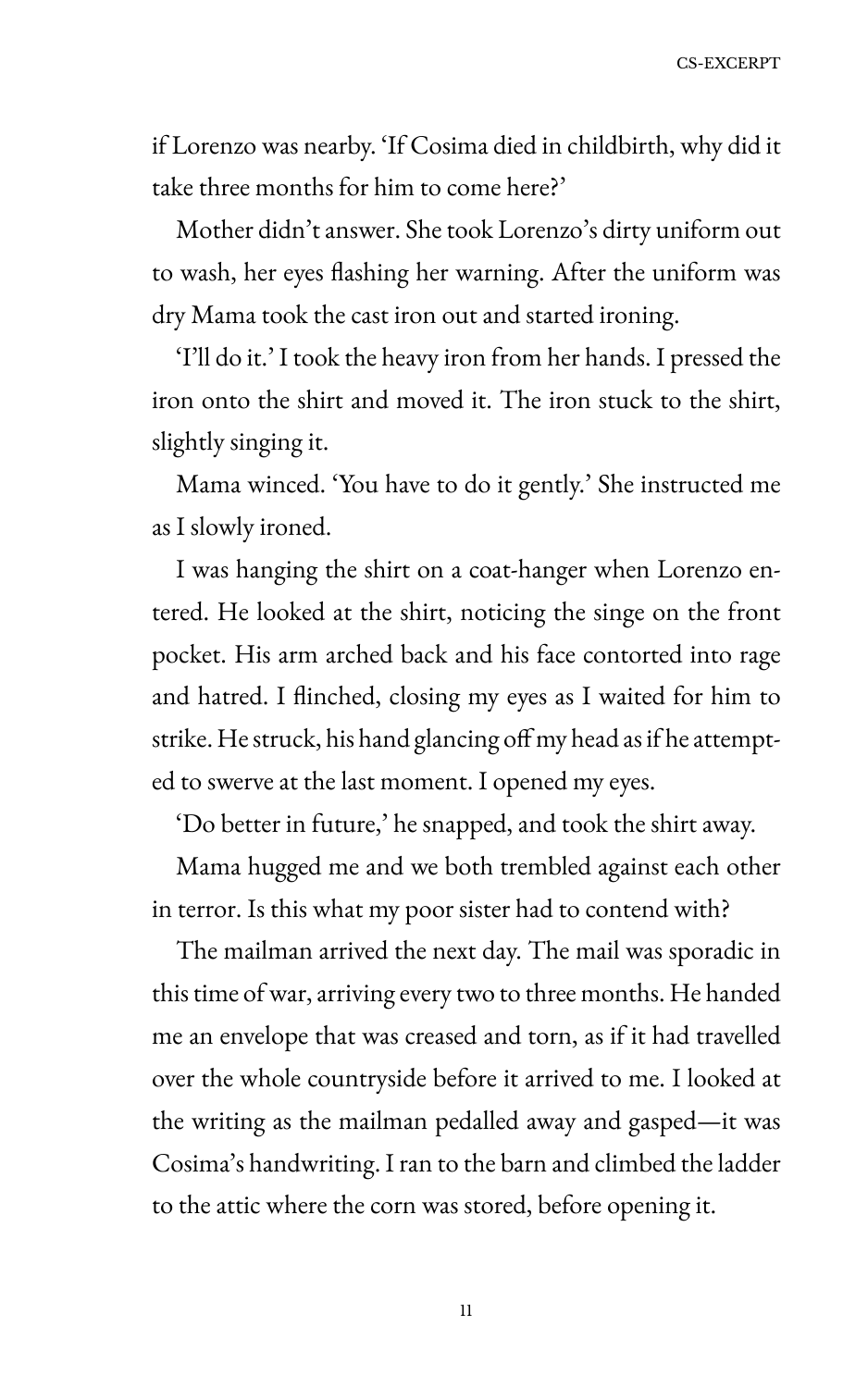CS-EXCERPT

if Lorenzo was nearby. 'If Cosima died in childbirth, why did it take three months for him to come here?'

Mother didn't answer. She took Lorenzo's dirty uniform out to wash, her eyes Hashing her warning. After the uniform was dry Mama took the cast iron out and started ironing.

'I'll do it.' I took the heavy iron from her hands. I pressed the iron onto the shirt and moved it. The iron stuck to the shirt, slightly singing it.

Mama winced. 'You have to do it gently.' She instructed me as I slowly ironed.

I was hanging the shirt on a coat-hanger when Lorenzo entered. He looked at the shirt, noticing the singe on the front pocket. His arm arched back and his face contorted into rage and hatred. I Hinched, closing my eyes as I waited for him to strike. He struck, his hand glancing off my head as if he attempted to swerve at the last moment. I opened my eyes.

'Do better in future,' he snapped, and took the shirt away.

Mama hugged me and we both trembled against each other in terror. Is this what my poor sister had to contend with?

The mailman arrived the next day. The mail was sporadic in this time of war, arriving every two to three months. He handed me an envelope that was creased and torn, as if it had travelled over the whole countryside before it arrived to me. I looked at the writing as the mailman pedalled away and gasped—it was Cosima's handwriting. I ran to the barn and climbed the ladder to the attic where the corn was stored, before opening it.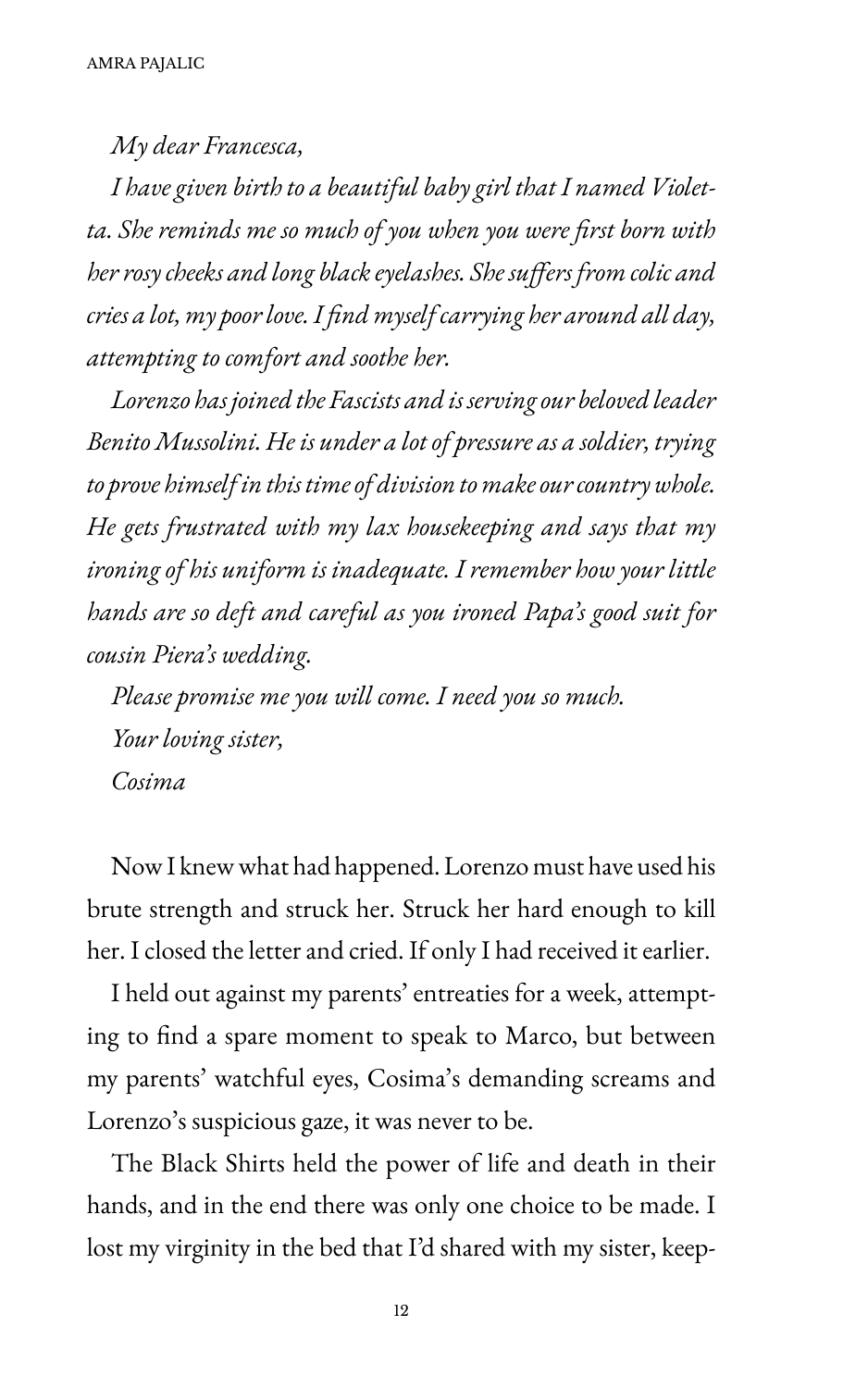*My dear Francesca,*

*I have given birth to a beautiful baby girl that I named Violetta. She reminds me so much of you when you were first born with her rosy cheeks and long black eyelashes. She suffers from colic and cries a lot, my poor love. I find myself carrying her around all day, attempting to comfort and soothe her.*

*Lorenzo has joined the Fascists and is serving our beloved leader Benito Mussolini. He is under a lot of pressure as a soldier, trying to prove himself in this time of division to make our country whole. He gets frustrated with my lax housekeeping and says that my ironing of his uniform is inadequate. I remember how your little hands are so deft and careful as you ironed Papa's good suit for cousin Piera's wedding.*

*Please promise me you will come. I need you so much. Your loving sister, Cosima*

Now I knew what had happened. Lorenzo must have used his brute strength and struck her. Struck her hard enough to kill her. I closed the letter and cried. If only I had received it earlier.

I held out against my parents' entreaties for a week, attempting to find a spare moment to speak to Marco, but between my parents' watchful eyes, Cosima's demanding screams and Lorenzo's suspicious gaze, it was never to be.

The Black Shirts held the power of life and death in their hands, and in the end there was only one choice to be made. I lost my virginity in the bed that I'd shared with my sister, keep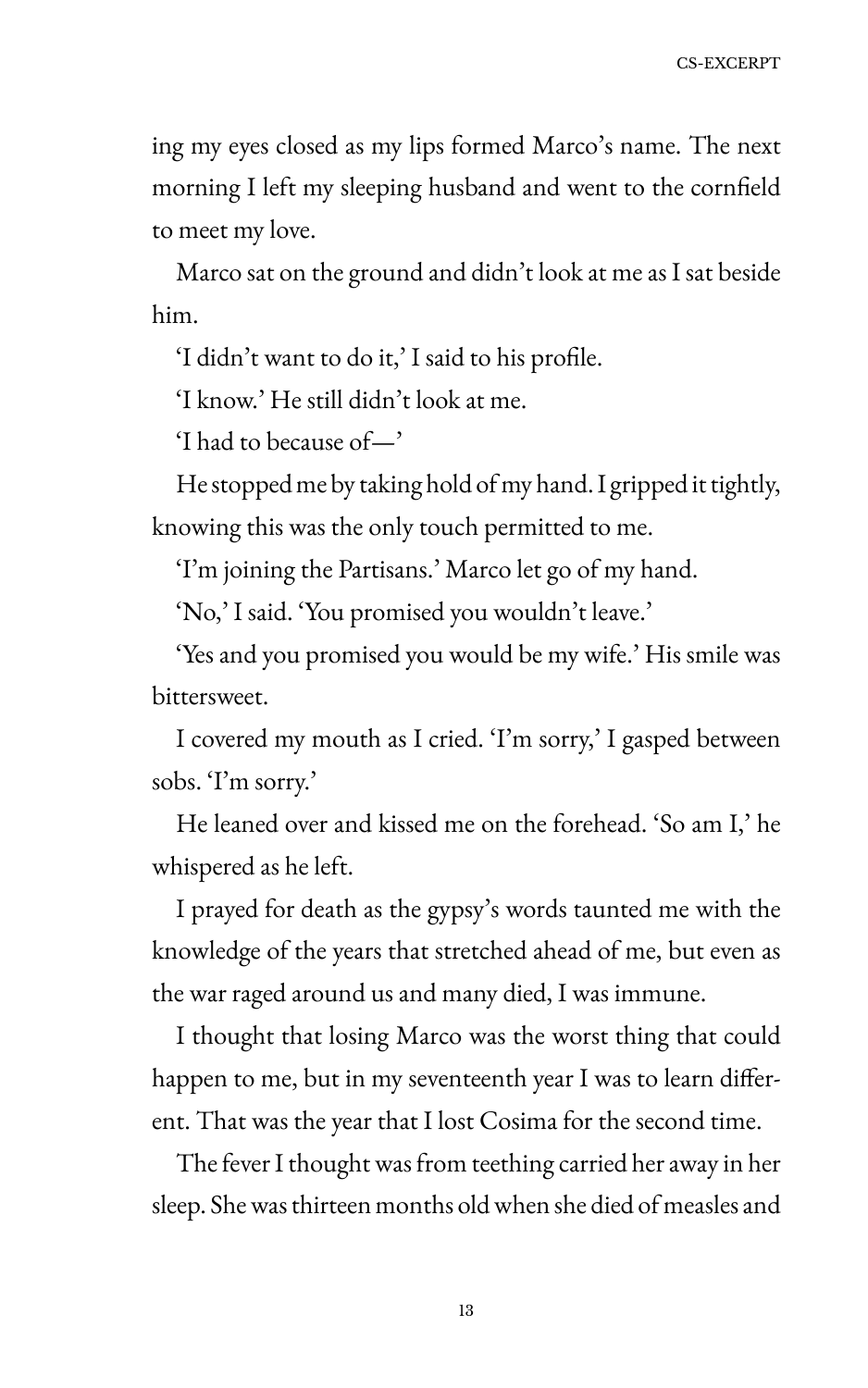ing my eyes closed as my lips formed Marco's name. The next morning I left my sleeping husband and went to the cornfield to meet my love.

Marco sat on the ground and didn't look at me as I sat beside him.

'I didn't want to do it,' I said to his profile.

'I know.' He still didn't look at me.

'I had to because of $-$ '

He stopped me by taking hold of my hand. I gripped it tightly, knowing this was the only touch permitted to me.

'I'm joining the Partisans.' Marco let go of my hand.

'No,' I said. 'You promised you wouldn't leave.'

'Yes and you promised you would be my wife.' His smile was bittersweet.

I covered my mouth as I cried. 'I'm sorry,' I gasped between sobs. 'I'm sorry.'

He leaned over and kissed me on the forehead. 'So am I,' he whispered as he left.

I prayed for death as the gypsy's words taunted me with the knowledge of the years that stretched ahead of me, but even as the war raged around us and many died, I was immune.

I thought that losing Marco was the worst thing that could happen to me, but in my seventeenth year I was to learn different. That was the year that I lost Cosima for the second time.

The fever I thought was from teething carried her away in her sleep. She was thirteen months old when she died of measles and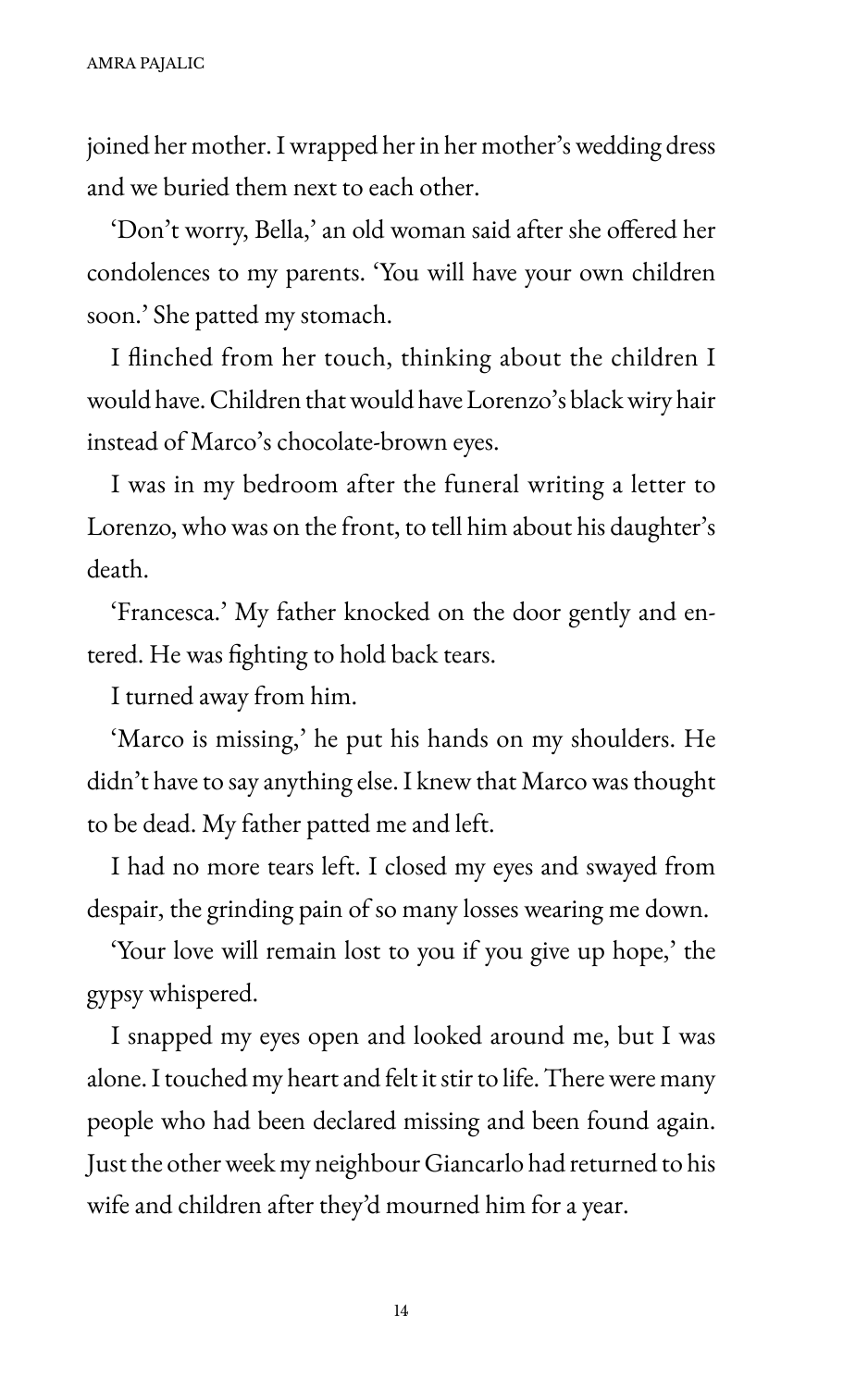joined her mother. I wrapped her in her mother's wedding dress and we buried them next to each other.

'Don't worry, Bella,' an old woman said after she offered her condolences to my parents. 'Sou will have your own children soon.' She patted my stomach.

I Hinched from her touch, thinking about the children I would have. Children that would have Lorenzo's black wiry hair instead of Marco's chocolate-brown eyes.

I was in my bedroom after the funeral writing a letter to Lorenzo, who was on the front, to tell him about his daughter's death.

'Francesca.' My father knocked on the door gently and entered. He was fighting to hold back tears.

I turned away from him.

'Marco is missing,' he put his hands on my shoulders. He didn't have to say anything else. I knew that Marco was thought to be dead. My father patted me and left.

I had no more tears left. I closed my eyes and swayed from despair, the grinding pain of so many losses wearing me down.

'Sour love will remain lost to you if you give up hope,' the gypsy whispered.

I snapped my eyes open and looked around me, but I was alone. I touched my heart and felt it stir to life. There were many people who had been declared missing and been found again. Just the other week my neighbour Giancarlo had returned to his wife and children after they'd mourned him for a year.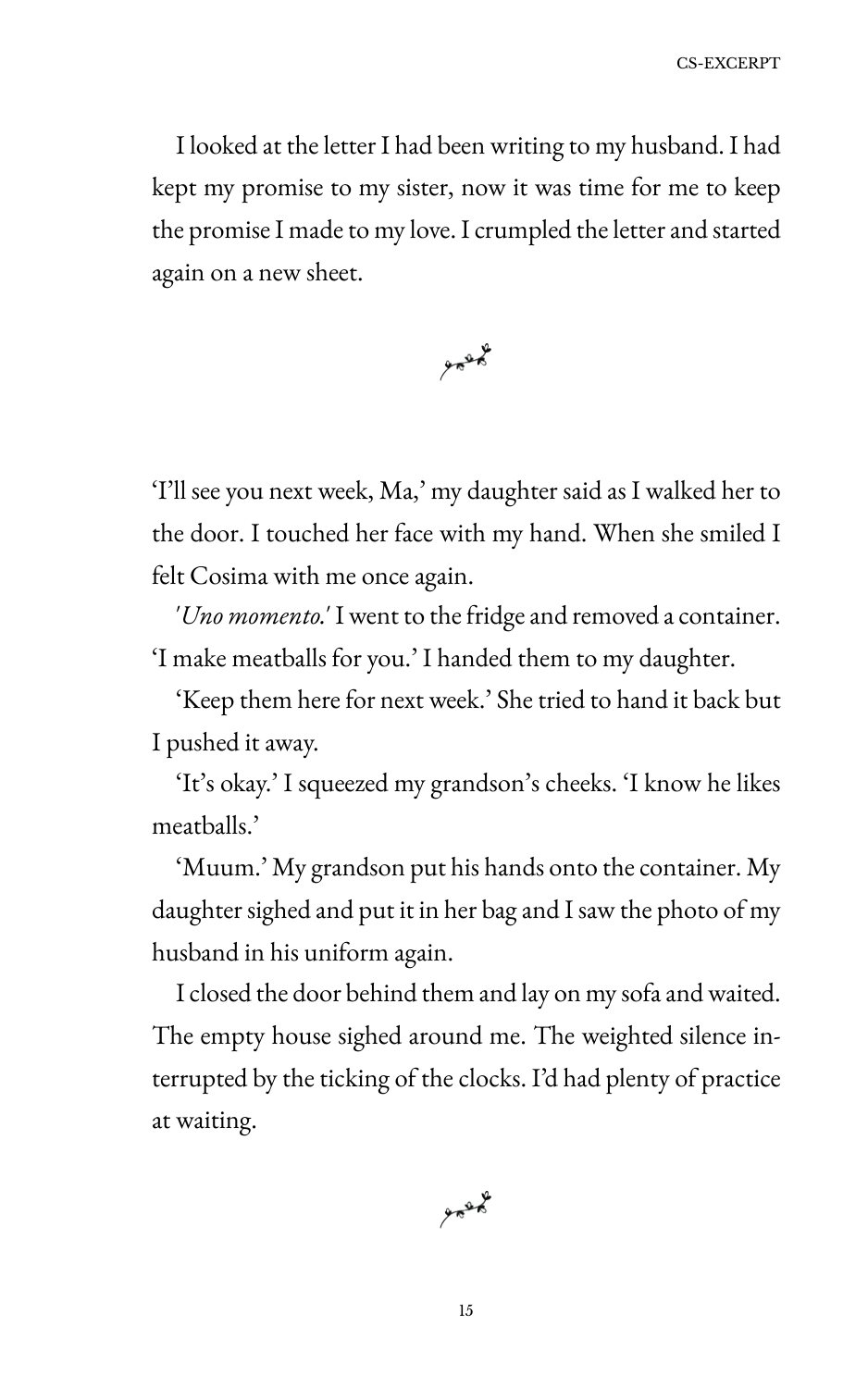I looked at the letter I had been writing to my husband. I had kept my promise to my sister, now it was time for me to keep the promise I made to my love. I crumpled the letter and started again on a new sheet.



'I'll see you next week, Ma,' my daughter said as I walked her to the door. I touched her face with my hand. When she smiled I felt Cosima with me once again.

'Uno momento.' I went to the fridge and removed a container. 'I make meatballs for you.' I handed them to my daughter.

'Keep them here for next week.' She tried to hand it back but I pushed it away.

'It's okay.' I squeezed my grandson's cheeks. 'I know he likes meatballs.'

'Muum.' My grandson put his hands onto the container. My daughter sighed and put it in her bag and I saw the photo of my husband in his uniform again.

I closed the door behind them and lay on my sofa and waited. The empty house sighed around me. The weighted silence interrupted by the ticking of the clocks. I'd had plenty of practice at waiting.

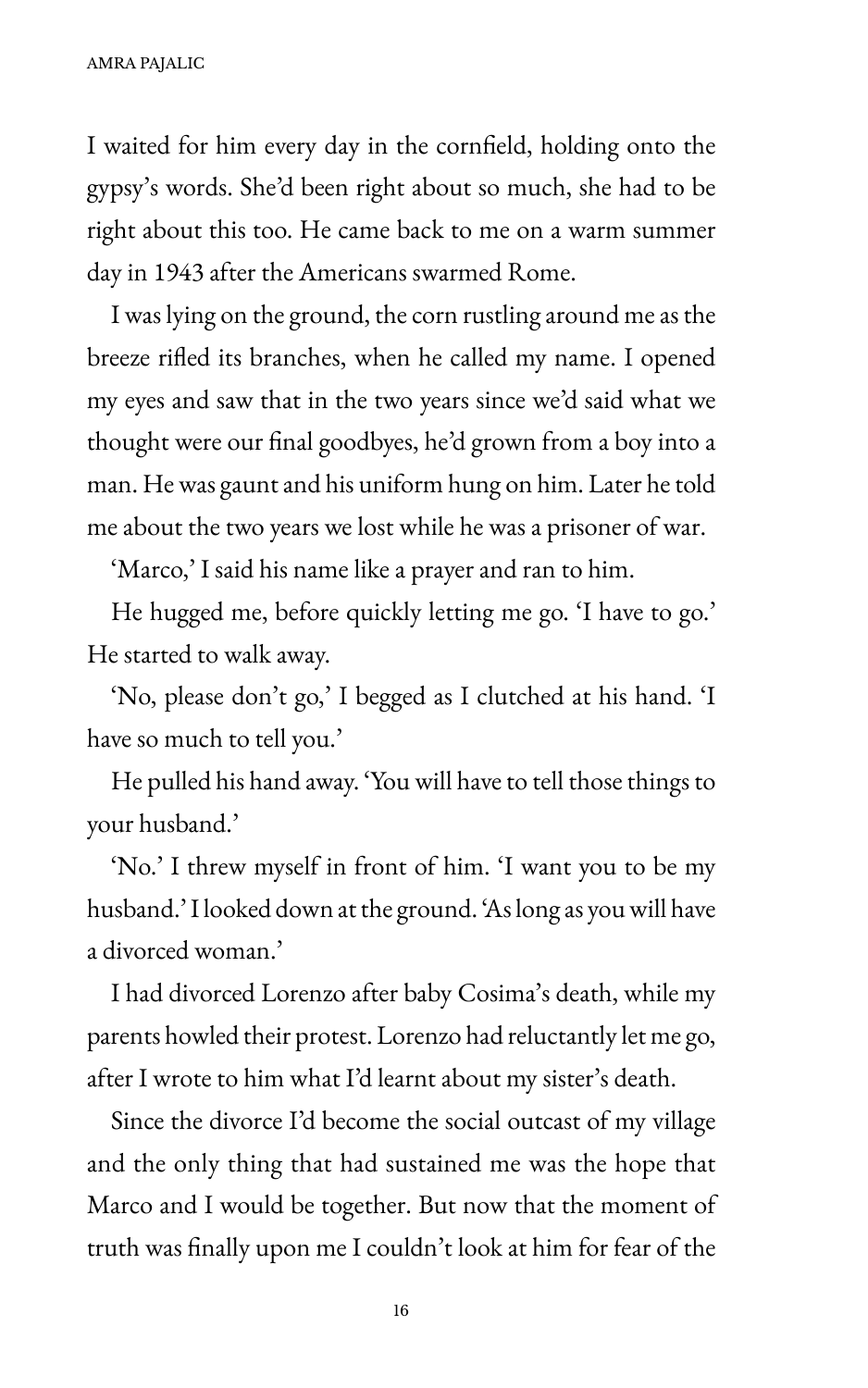I waited for him every day in the cornfield, holding onto the gypsy's words. She'd been right about so much, she had to be right about this too. He came back to me on a warm summer day in 1943 after the Americans swarmed Rome.

I was lying on the ground, the corn rustling around me as the breeze riHed its branches, when he called my name. I opened my eyes and saw that in the two years since we'd said what we thought were our final goodbyes, he'd grown from a boy into a man. He was gaunt and his uniform hung on him. Later he told me about the two years we lost while he was a prisoner of war.

'Marco,' I said his name like a prayer and ran to him.

He hugged me, before quickly letting me go. 'I have to go.' He started to walk away.

'No, please don't go,' I begged as I clutched at his hand. 'I have so much to tell you.'

He pulled his hand away. 'You will have to tell those things to your husband.'

'No.' I threw myself in front of him. 'I want you to be my husband.' I looked down at the ground. 'As long as you will have a divorced woman.'

I had divorced Lorenzo after baby Cosima's death, while my parents howled their protest. Lorenzo had reluctantly let me go, after I wrote to him what I'd learnt about my sister's death.

Since the divorce I'd become the social outcast of my village and the only thing that had sustained me was the hope that Marco and I would be together. But now that the moment of truth was finally upon me I couldn't look at him for fear of the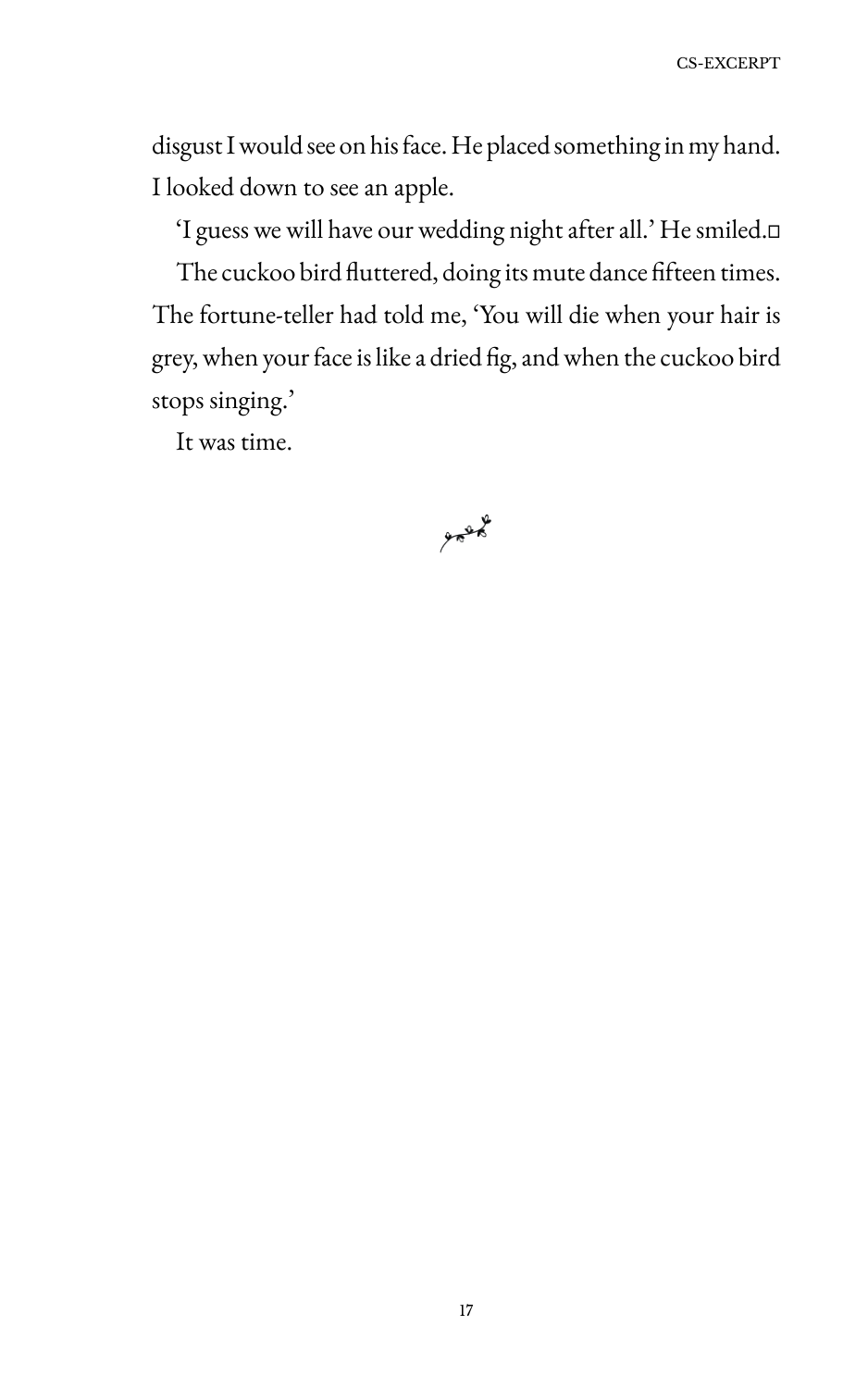disgust I would see on his face. He placed something in my hand. I looked down to see an apple.

'I guess we will have our wedding night after all.' He smiled.<sup>[]</sup>

The cuckoo bird fluttered, doing its mute dance fifteen times. The fortune-teller had told me, 'Sou will die when your hair is grey, when your face is like a dried fig, and when the cuckoo bird stops singing.'

It was time.

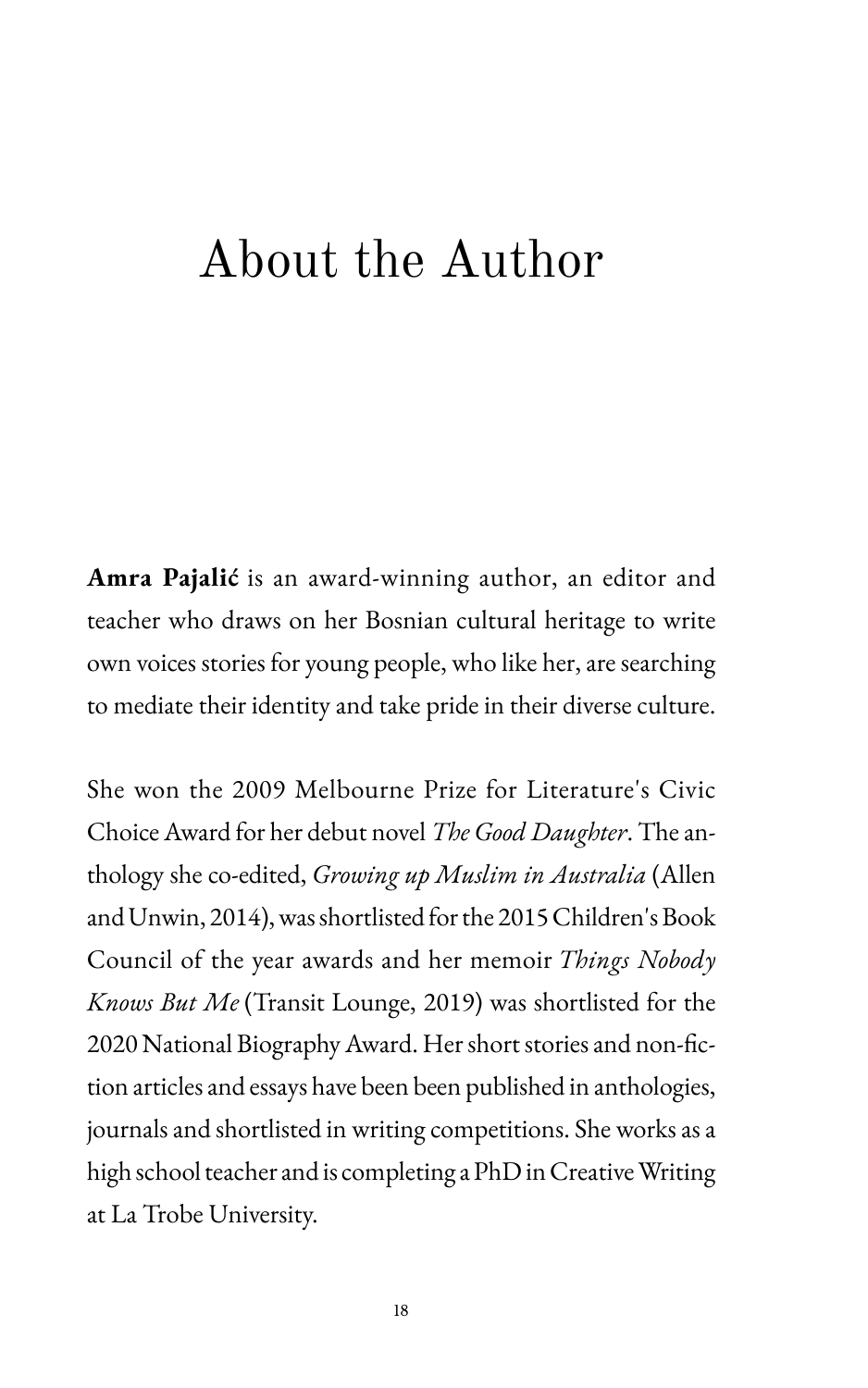### About the Author

**Amra Pajalić** is an award-winning author, an editor and teacher who draws on her Bosnian cultural heritage to write own voices stories for young people, who like her, are searching to mediate their identity and take pride in their diverse culture.

She won the 2009 Melbourne Prize for Literature's Civic Choice Award for her debut novel *The Good Daughter*. The anthology she co-edited, *Growing up Muslim in Australia* (Allen and Unwin, 2014), was shortlisted for the 2015 Children's Book Council of the year awards and her memoir *Things Nobody Knows But Me* (Transit Lounge, 2019) was shortlisted for the 2020 National Biography Award. Her short stories and non-fiction articles and essays have been been published in anthologies, journals and shortlisted in writing competitions. She works as a high school teacher and is completing a PhD in Creative Writing at La Trobe University.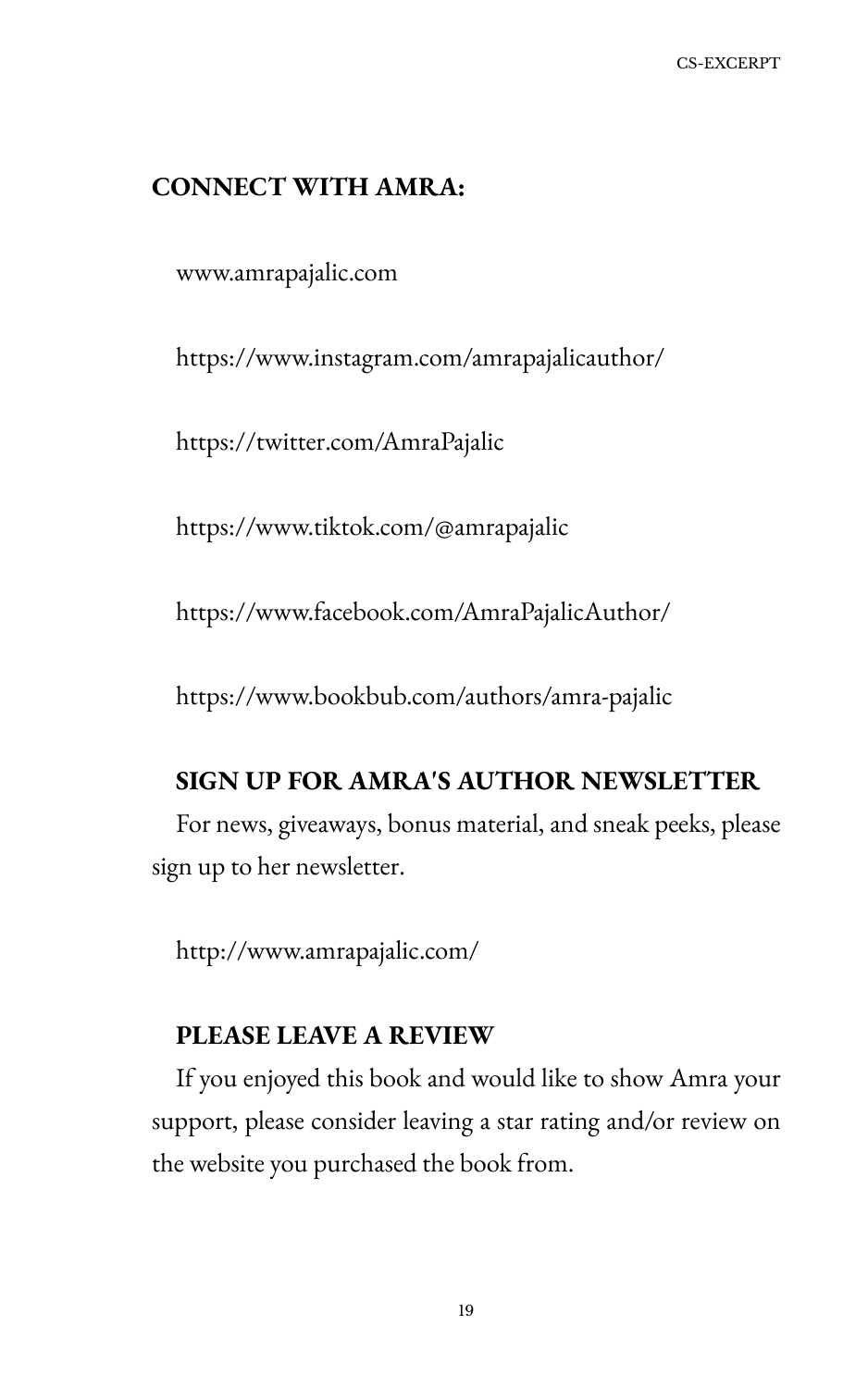### **CONNECT WITH AMRA:**

www.amrapajalic.com

https://www.instagram.com/amrapajalicauthor/

https://twitter.com/AmraPajalic

https://www.tiktok.com/@amrapajalic

https://www.facebook.com/AmraPajalicAuthor/

https://www.bookbub.com/authors/amra-pajalic

### **SIGN UP FOR AMRA'S AUTHOR NEWSLETTER**

For news, giveaways, bonus material, and sneak peeks, please sign up to her newsletter.

http://www.amrapajalic.com/

### **PLEASE LEAVE A REVIEW**

If you enjoyed this book and would like to show Amra your support, please consider leaving a star rating and/or review on the website you purchased the book from.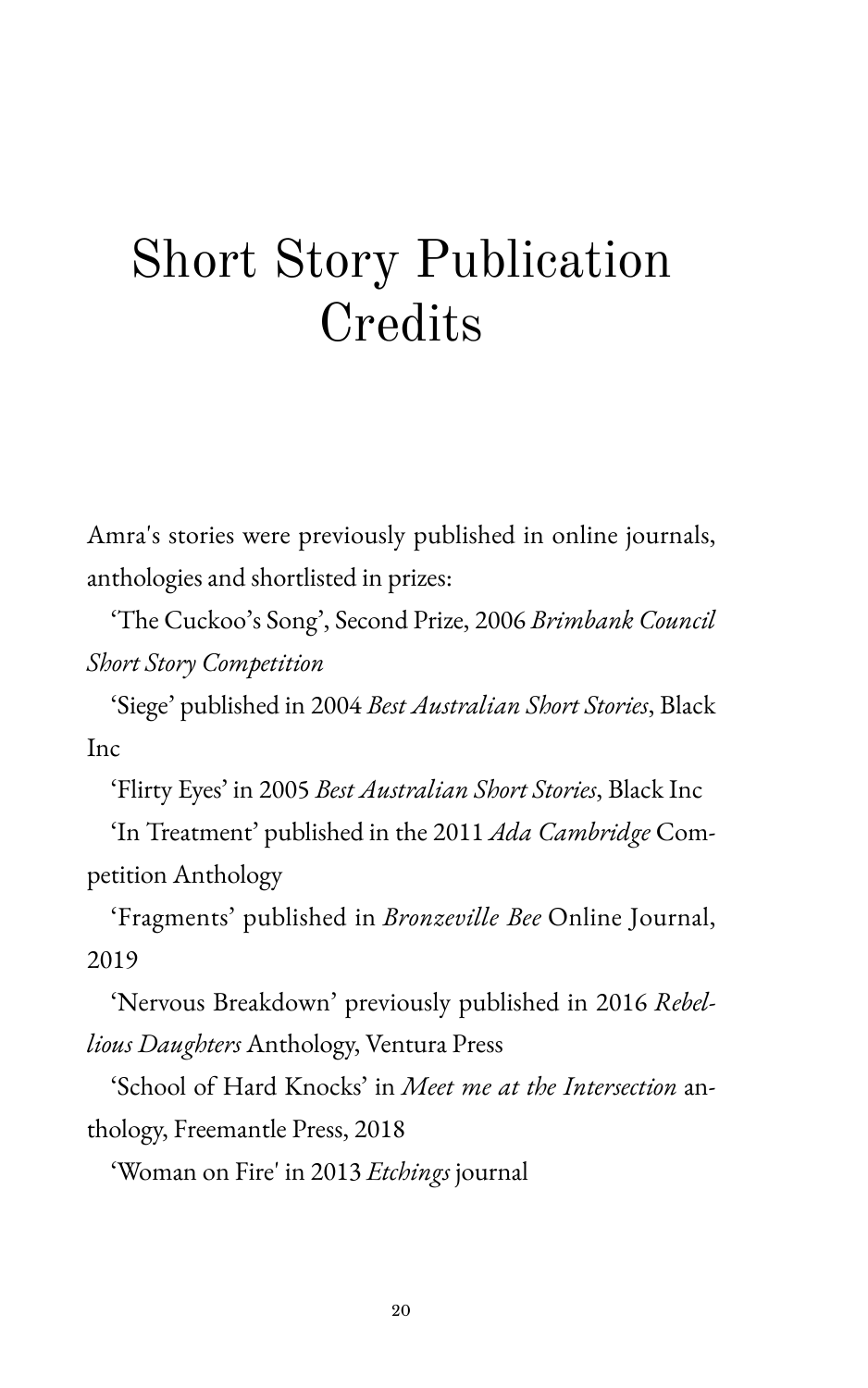# Short Story Publication Credits

Amra's stories were previously published in online journals, anthologies and shortlisted in prizes:

'The Cuckoo's Song', Second Prize, 2006 *Brimbank Council Short Story Competition*

'Siege' published in 2004 *Best Australian Short Stories*, Black Inc

'Flirty Eyes' in 2005 *Best Australian Short Stories*, Black Inc

'In Treatment' published in the 2011 *Ada Cambridge* Competition Anthology

'Fragments' published in *Bronzeville Bee* Online Journal, 2019

'Nervous Breakdown' previously published in 2016 *Rebellious Daughters* Anthology, Ventura Press

'School of Hard Knocks' in *Meet me at the Intersection* anthology, Freemantle Press, 2018

'Woman on Fire' in 2013 *Etchings* journal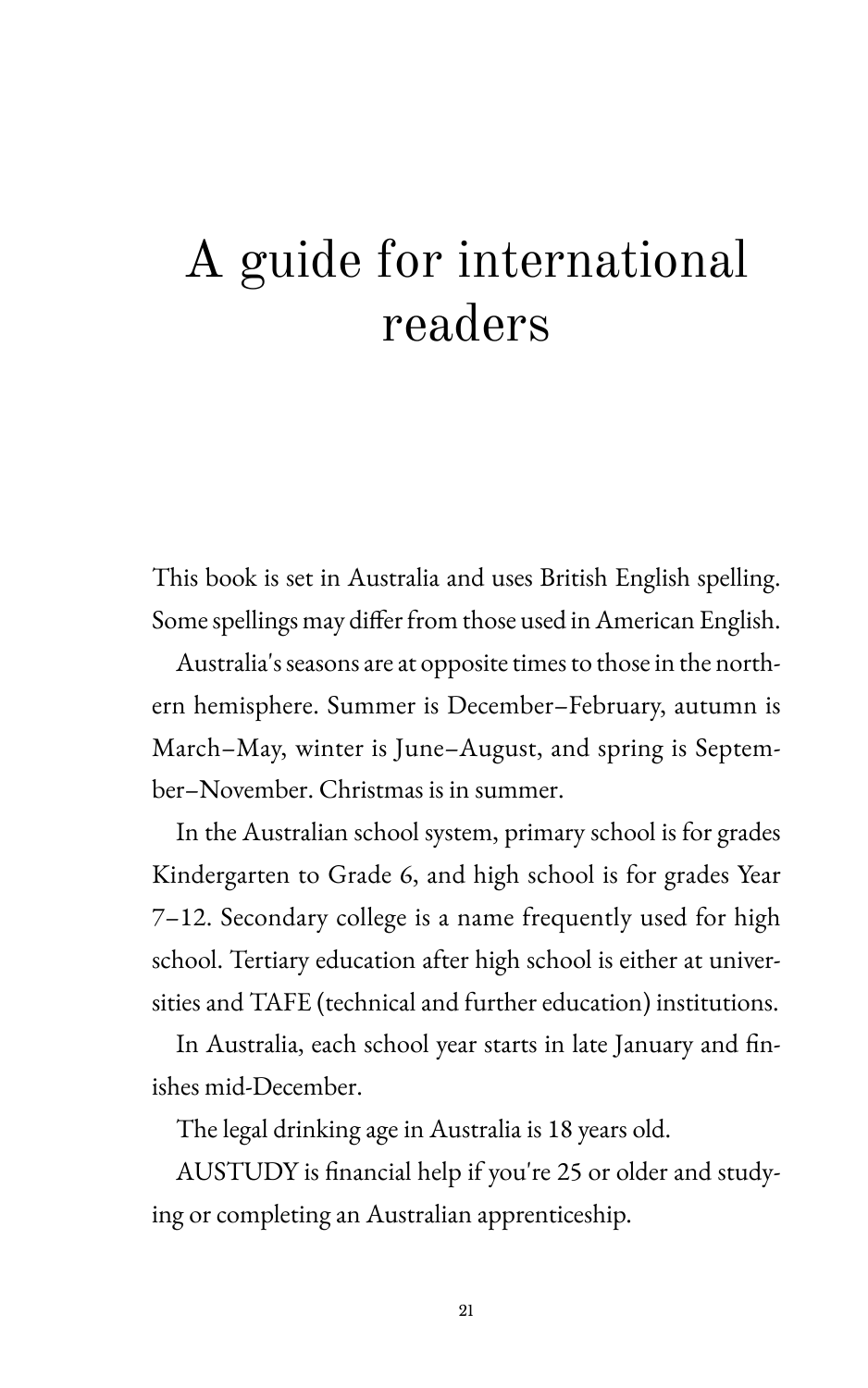# A guide for international readers

This book is set in Australia and uses British English spelling. Some spellings may differ from those used in American English.

Australia's seasons are at opposite times to those in the northern hemisphere. Summer is December-February, autumn is March-May, winter is June-August, and spring is September-November. Christmas is in summer.

In the Australian school system, primary school is for grades Kindergarten to Grade 6, and high school is for grades Year 7–12. Secondary college is a name frequently used for high school. Tertiary education after high school is either at universities and TAFE (technical and further education) institutions.

In Australia, each school year starts in late January and finishes mid-December.

The legal drinking age in Australia is 18 years old.

AUSTUDY is financial help if you're 25 or older and studying or completing an Australian apprenticeship.